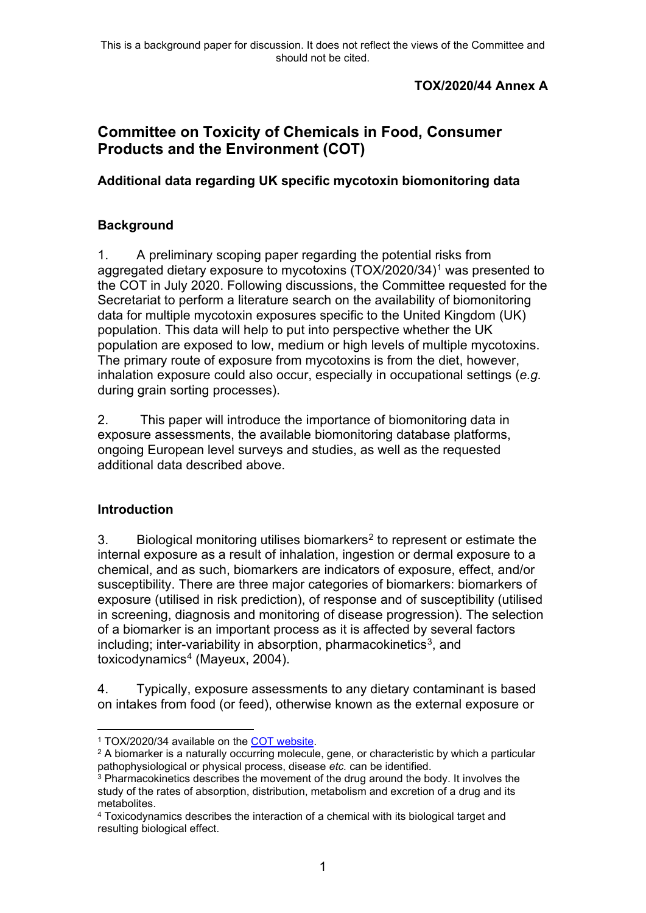### **TOX/2020/44 Annex A**

# **Committee on Toxicity of Chemicals in Food, Consumer Products and the Environment (COT)**

### **Additional data regarding UK specific mycotoxin biomonitoring data**

### **Background**

1. A preliminary scoping paper regarding the potential risks from aggregated dietary exposure to mycotoxins (TOX/2020/34)[1](#page-0-0) was presented to the COT in July 2020. Following discussions, the Committee requested for the Secretariat to perform a literature search on the availability of biomonitoring data for multiple mycotoxin exposures specific to the United Kingdom (UK) population. This data will help to put into perspective whether the UK population are exposed to low, medium or high levels of multiple mycotoxins. The primary route of exposure from mycotoxins is from the diet, however, inhalation exposure could also occur, especially in occupational settings (*e.g.* during grain sorting processes).

2. This paper will introduce the importance of biomonitoring data in exposure assessments, the available biomonitoring database platforms, ongoing European level surveys and studies, as well as the requested additional data described above.

### **Introduction**

3. Biological monitoring utilises biomarkers<sup>[2](#page-0-1)</sup> to represent or estimate the internal exposure as a result of inhalation, ingestion or dermal exposure to a chemical, and as such, biomarkers are indicators of exposure, effect, and/or susceptibility. There are three major categories of biomarkers: biomarkers of exposure (utilised in risk prediction), of response and of susceptibility (utilised in screening, diagnosis and monitoring of disease progression). The selection of a biomarker is an important process as it is affected by several factors including; inter-variability in absorption, pharmacokinetics<sup>[3](#page-0-2)</sup>, and toxicodynamics<sup>[4](#page-0-3)</sup> (Mayeux, 2004).

4. Typically, exposure assessments to any dietary contaminant is based on intakes from food (or feed), otherwise known as the external exposure or

<sup>1</sup> TOX/2020/34 available on the [COT website.](https://cot.food.gov.uk/sites/default/files/tox202034aggregateexposureofmycotoxins.pdf)

<span id="page-0-1"></span><span id="page-0-0"></span><sup>&</sup>lt;sup>2</sup> A biomarker is a naturally occurring molecule, gene, or characteristic by which a particular pathophysiological or physical process, disease *etc.* can be identified.

<span id="page-0-2"></span><sup>&</sup>lt;sup>3</sup> Pharmacokinetics describes the movement of the drug around the body. It involves the study of the rates of absorption, distribution, metabolism and excretion of a drug and its metabolites.

<span id="page-0-3"></span><sup>4</sup> Toxicodynamics describes the interaction of a chemical with its biological target and resulting biological effect.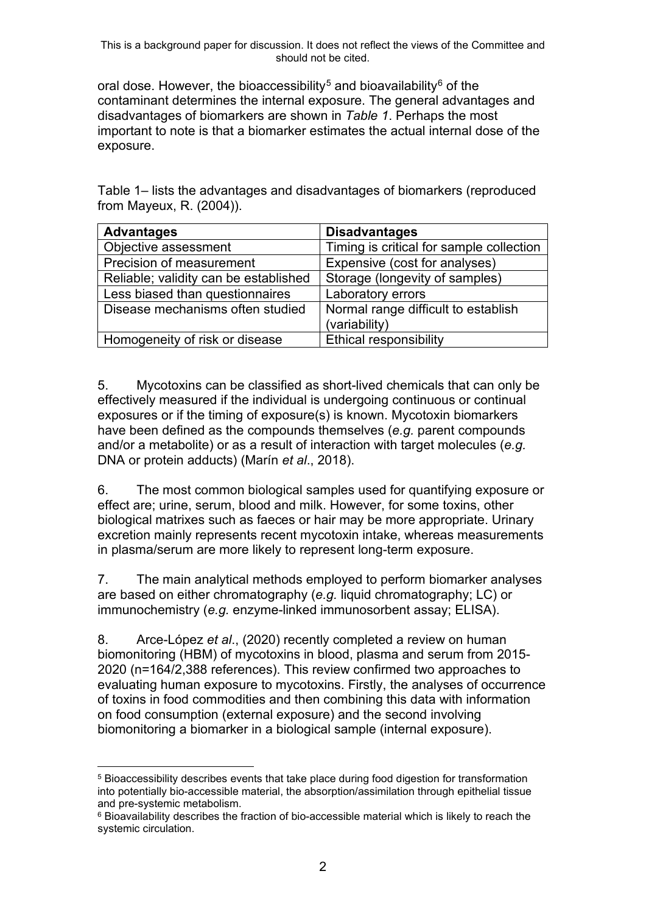oral dose. However, the bioaccessibility<sup>[5](#page-1-0)</sup> and bioavailability<sup>[6](#page-1-1)</sup> of the contaminant determines the internal exposure. The general advantages and disadvantages of biomarkers are shown in *Table 1*. Perhaps the most important to note is that a biomarker estimates the actual internal dose of the exposure.

Table 1– lists the advantages and disadvantages of biomarkers (reproduced from Mayeux, R. (2004)).

| <b>Advantages</b>                     | <b>Disadvantages</b>                     |
|---------------------------------------|------------------------------------------|
| Objective assessment                  | Timing is critical for sample collection |
| Precision of measurement              | Expensive (cost for analyses)            |
| Reliable; validity can be established | Storage (longevity of samples)           |
| Less biased than questionnaires       | Laboratory errors                        |
| Disease mechanisms often studied      | Normal range difficult to establish      |
|                                       | (variability)                            |
| Homogeneity of risk or disease        | <b>Ethical responsibility</b>            |

5. Mycotoxins can be classified as short-lived chemicals that can only be effectively measured if the individual is undergoing continuous or continual exposures or if the timing of exposure(s) is known. Mycotoxin biomarkers have been defined as the compounds themselves (*e.g.* parent compounds and/or a metabolite) or as a result of interaction with target molecules (*e.g.*  DNA or protein adducts) (Marín *et al*., 2018).

6. The most common biological samples used for quantifying exposure or effect are; urine, serum, blood and milk. However, for some toxins, other biological matrixes such as faeces or hair may be more appropriate. Urinary excretion mainly represents recent mycotoxin intake, whereas measurements in plasma/serum are more likely to represent long-term exposure.

7. The main analytical methods employed to perform biomarker analyses are based on either chromatography (*e.g.* liquid chromatography; LC) or immunochemistry (*e.g.* enzyme-linked immunosorbent assay; ELISA).

8. Arce-López *et al*., (2020) recently completed a review on human biomonitoring (HBM) of mycotoxins in blood, plasma and serum from 2015- 2020 (n=164/2,388 references). This review confirmed two approaches to evaluating human exposure to mycotoxins. Firstly, the analyses of occurrence of toxins in food commodities and then combining this data with information on food consumption (external exposure) and the second involving biomonitoring a biomarker in a biological sample (internal exposure).

<span id="page-1-0"></span><sup>5</sup> Bioaccessibility describes events that take place during food digestion for transformation into potentially bio-accessible material, the absorption/assimilation through epithelial tissue and pre-systemic metabolism.

<span id="page-1-1"></span><sup>6</sup> Bioavailability describes the fraction of bio-accessible material which is likely to reach the systemic circulation.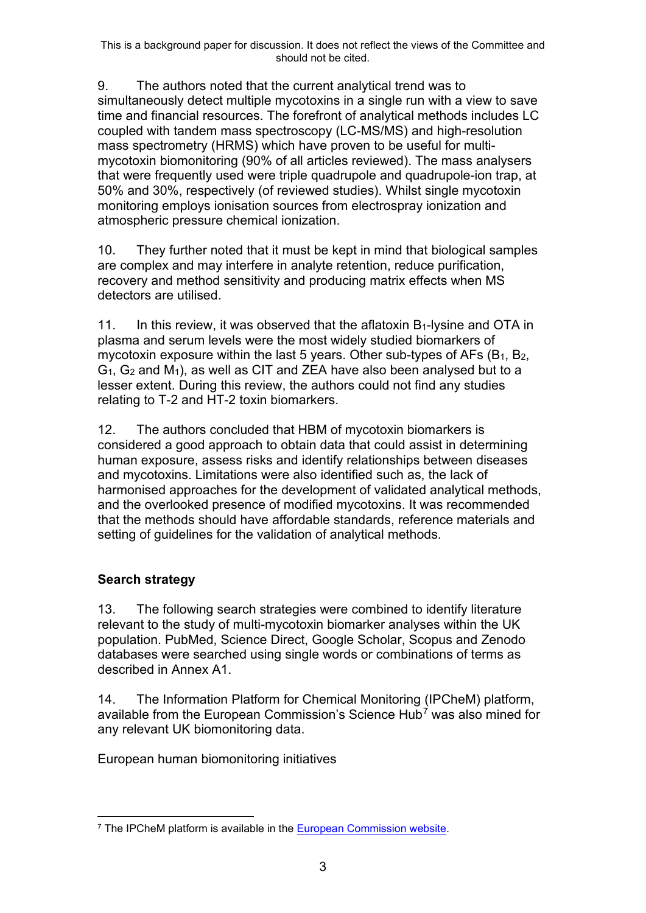9. The authors noted that the current analytical trend was to simultaneously detect multiple mycotoxins in a single run with a view to save time and financial resources. The forefront of analytical methods includes LC coupled with tandem mass spectroscopy (LC-MS/MS) and high-resolution mass spectrometry (HRMS) which have proven to be useful for multimycotoxin biomonitoring (90% of all articles reviewed). The mass analysers that were frequently used were triple quadrupole and quadrupole-ion trap, at 50% and 30%, respectively (of reviewed studies). Whilst single mycotoxin monitoring employs ionisation sources from electrospray ionization and atmospheric pressure chemical ionization.

10. They further noted that it must be kept in mind that biological samples are complex and may interfere in analyte retention, reduce purification, recovery and method sensitivity and producing matrix effects when MS detectors are utilised.

11. In this review, it was observed that the aflatoxin  $B_1$ -lysine and OTA in plasma and serum levels were the most widely studied biomarkers of mycotoxin exposure within the last 5 years. Other sub-types of  $AFs$  ( $B_1$ ,  $B_2$ ,  $G_1$ ,  $G_2$  and  $M_1$ ), as well as CIT and ZEA have also been analysed but to a lesser extent. During this review, the authors could not find any studies relating to T-2 and HT-2 toxin biomarkers.

12. The authors concluded that HBM of mycotoxin biomarkers is considered a good approach to obtain data that could assist in determining human exposure, assess risks and identify relationships between diseases and mycotoxins. Limitations were also identified such as, the lack of harmonised approaches for the development of validated analytical methods, and the overlooked presence of modified mycotoxins. It was recommended that the methods should have affordable standards, reference materials and setting of guidelines for the validation of analytical methods.

# <span id="page-2-1"></span>**Search strategy**

13. The following search strategies were combined to identify literature relevant to the study of multi-mycotoxin biomarker analyses within the UK population. PubMed, Science Direct, Google Scholar, Scopus and Zenodo databases were searched using single words or combinations of terms as described in [Annex A1.](#page-27-0)

14. The Information Platform for Chemical Monitoring (IPCheM) platform, available from the European Commission's Science Hub[7](#page-2-0) was also mined for any relevant UK biomonitoring data.

European human biomonitoring initiatives

<span id="page-2-0"></span><sup>&</sup>lt;sup>7</sup> The IPCheM platform is available in the [European Commission website.](https://ipchem.jrc.ec.europa.eu/RDSIdiscovery/ipchem/index.html)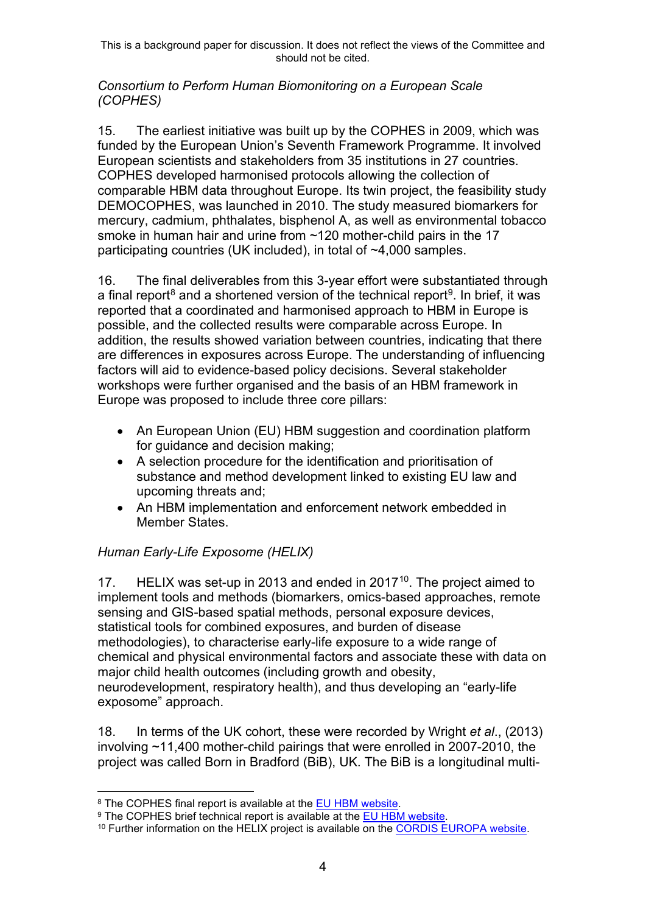#### *Consortium to Perform Human Biomonitoring on a European Scale (COPHES)*

15. The earliest initiative was built up by the COPHES in 2009, which was funded by the European Union's Seventh Framework Programme. It involved European scientists and stakeholders from 35 institutions in 27 countries. COPHES developed harmonised protocols allowing the collection of comparable HBM data throughout Europe. Its twin project, the feasibility study DEMOCOPHES, was launched in 2010. The study measured biomarkers for mercury, cadmium, phthalates, bisphenol A, as well as environmental tobacco smoke in human hair and urine from ~120 mother-child pairs in the 17 participating countries (UK included), in total of ~4,000 samples.

16. The final deliverables from this 3-year effort were substantiated through a final report<sup>[8](#page-3-0)</sup> and a shortened version of the technical report<sup>9</sup>. In brief, it was reported that a coordinated and harmonised approach to HBM in Europe is possible, and the collected results were comparable across Europe. In addition, the results showed variation between countries, indicating that there are differences in exposures across Europe. The understanding of influencing factors will aid to evidence-based policy decisions. Several stakeholder workshops were further organised and the basis of an HBM framework in Europe was proposed to include three core pillars:

- An European Union (EU) HBM suggestion and coordination platform for guidance and decision making;
- A selection procedure for the identification and prioritisation of substance and method development linked to existing EU law and upcoming threats and;
- An HBM implementation and enforcement network embedded in Member States.

# *Human Early-Life Exposome (HELIX)*

17. HELIX was set-up in 2013 and ended in 2017<sup>10</sup>. The project aimed to implement tools and methods (biomarkers, omics-based approaches, remote sensing and GIS-based spatial methods, personal exposure devices, statistical tools for combined exposures, and burden of disease methodologies), to characterise early-life exposure to a wide range of chemical and physical environmental factors and associate these with data on major child health outcomes (including growth and obesity, neurodevelopment, respiratory health), and thus developing an "early-life exposome" approach.

18. In terms of the UK cohort, these were recorded by Wright *et al*., (2013) involving ~11,400 mother-child pairings that were enrolled in 2007-2010, the project was called Born in Bradford (BiB), UK. The BiB is a longitudinal multi-

<span id="page-3-0"></span><sup>8</sup> The COPHES final report is available at the [EU HBM website.](http://www.eu-hbm.info/euresult/media-corner/press-kit)

<span id="page-3-1"></span><sup>&</sup>lt;sup>9</sup> The COPHES brief technical report is available at the [EU HBM website.](http://www.eu-hbm.info/euresult/democophes-short-technical-report)

<span id="page-3-2"></span><sup>&</sup>lt;sup>10</sup> Further information on the HELIX project is available on the [CORDIS EUROPA website.](https://cordis.europa.eu/project/id/308333)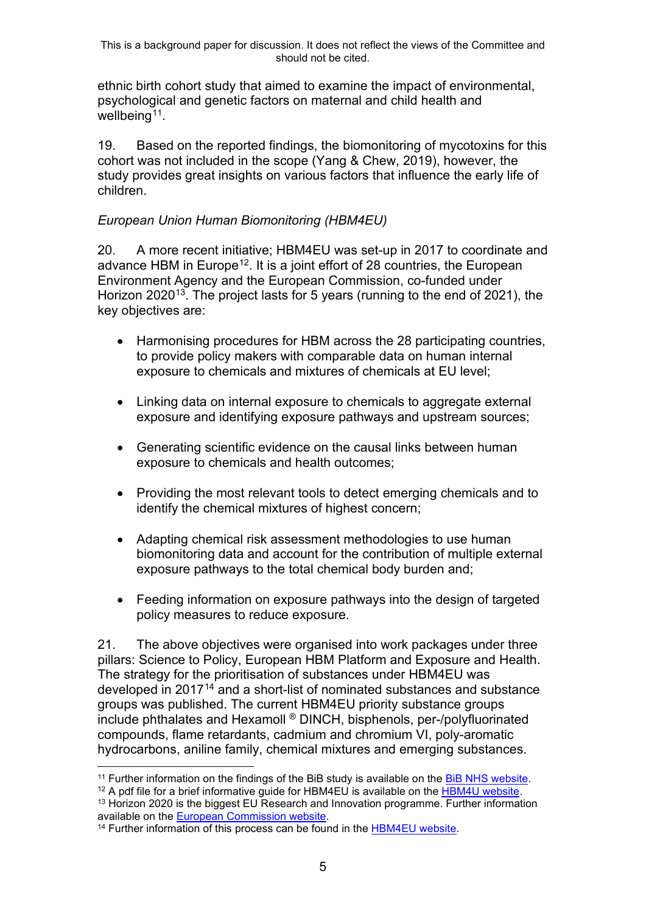ethnic birth cohort study that aimed to examine the impact of environmental, psychological and genetic factors on maternal and child health and wellbeing<sup> $11$ </sup>.

19. Based on the reported findings, the biomonitoring of mycotoxins for this cohort was not included in the scope (Yang & Chew, 2019), however, the study provides great insights on various factors that influence the early life of children.

#### *European Union Human Biomonitoring (HBM4EU)*

20. A more recent initiative; HBM4EU was set-up in 2017 to coordinate and advance HBM in Europe<sup>[12](#page-4-1)</sup>. It is a joint effort of 28 countries, the European Environment Agency and the European Commission, co-funded under Horizon 2020<sup>13</sup>. The project lasts for 5 years (running to the end of 2021), the key objectives are:

- Harmonising procedures for HBM across the 28 participating countries, to provide policy makers with comparable data on human internal exposure to chemicals and mixtures of chemicals at EU level;
- Linking data on internal exposure to chemicals to aggregate external exposure and identifying exposure pathways and upstream sources;
- Generating scientific evidence on the causal links between human exposure to chemicals and health outcomes;
- Providing the most relevant tools to detect emerging chemicals and to identify the chemical mixtures of highest concern;
- Adapting chemical risk assessment methodologies to use human biomonitoring data and account for the contribution of multiple external exposure pathways to the total chemical body burden and;
- Feeding information on exposure pathways into the design of targeted policy measures to reduce exposure.

21. The above objectives were organised into work packages under three pillars: Science to Policy, European HBM Platform and Exposure and Health. The strategy for the prioritisation of substances under HBM4EU was developed in 2017<sup>[14](#page-4-3)</sup> and a short-list of nominated substances and substance groups was published. The current HBM4EU priority substance groups include phthalates and Hexamoll ® DINCH, bisphenols, per-/polyfluorinated compounds, flame retardants, cadmium and chromium VI, poly-aromatic hydrocarbons, aniline family, chemical mixtures and emerging substances.

<sup>12</sup> A pdf file for a brief informative quide for HBM4EU is available on the [HBM4U website.](https://www.hbm4eu.eu/wp-content/uploads/2017/03/HBM4EU-in-brief.pdf)

<span id="page-4-2"></span><span id="page-4-1"></span><sup>13</sup> Horizon 2020 is the biggest EU Research and Innovation programme. Further information available on the [European Commission website.](https://ec.europa.eu/programmes/horizon2020/what-horizon-2020)

<span id="page-4-0"></span><sup>&</sup>lt;sup>11</sup> Further information on the findings of the BiB study is available on the [BiB NHS website.](https://borninbradford.nhs.uk/our-findings/)

<span id="page-4-3"></span><sup>&</sup>lt;sup>14</sup> Further information of this process can be found in the [HBM4EU website.](https://www.hbm4eu.eu/wp-content/uploads/2017/03/HBM4EU_D4.3_Prioritisation_strategy_criteria-1.pdf)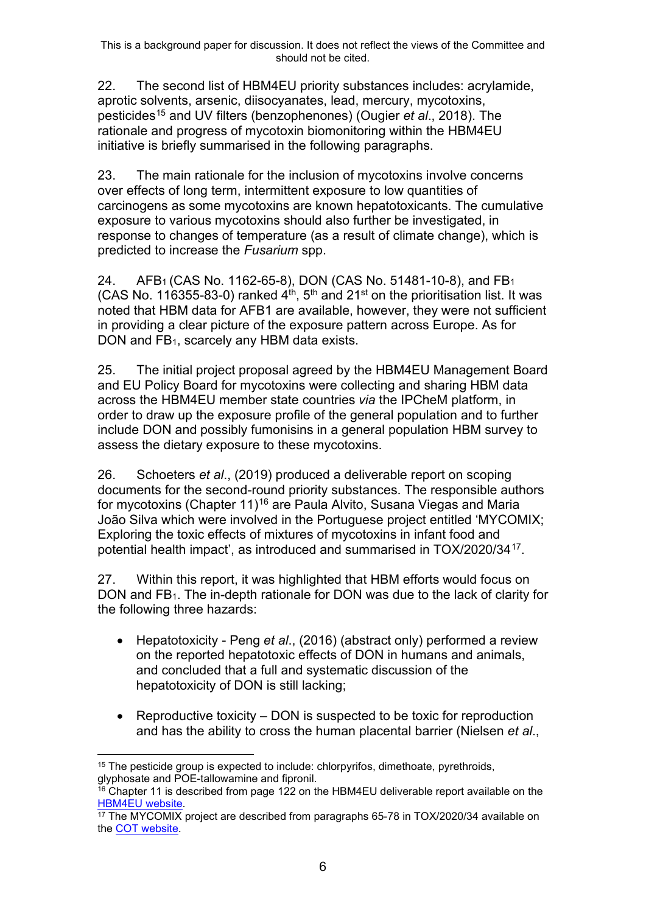22. The second list of HBM4EU priority substances includes: acrylamide, aprotic solvents, arsenic, diisocyanates, lead, mercury, mycotoxins, pesticides[15](#page-5-0) and UV filters (benzophenones) (Ougier *et al*., 2018). The rationale and progress of mycotoxin biomonitoring within the HBM4EU initiative is briefly summarised in the following paragraphs.

23. The main rationale for the inclusion of mycotoxins involve concerns over effects of long term, intermittent exposure to low quantities of carcinogens as some mycotoxins are known hepatotoxicants. The cumulative exposure to various mycotoxins should also further be investigated, in response to changes of temperature (as a result of climate change), which is predicted to increase the *Fusarium* spp.

24. AFB1 (CAS No. 1162-65-8), DON (CAS No. 51481-10-8), and FB1 (CAS No. 116355-83-0) ranked  $4<sup>th</sup>$ , 5<sup>th</sup> and 21<sup>st</sup> on the prioritisation list. It was noted that HBM data for AFB1 are available, however, they were not sufficient in providing a clear picture of the exposure pattern across Europe. As for DON and FB<sub>1</sub>, scarcely any HBM data exists.

25. The initial project proposal agreed by the HBM4EU Management Board and EU Policy Board for mycotoxins were collecting and sharing HBM data across the HBM4EU member state countries *via* the IPCheM platform, in order to draw up the exposure profile of the general population and to further include DON and possibly fumonisins in a general population HBM survey to assess the dietary exposure to these mycotoxins.

26. Schoeters *et al*., (2019) produced a deliverable report on scoping documents for the second-round priority substances. The responsible authors for mycotoxins (Chapter 11)[16](#page-5-1) are Paula Alvito, Susana Viegas and Maria João Silva which were involved in the Portuguese project entitled 'MYCOMIX; Exploring the toxic effects of mixtures of mycotoxins in infant food and potential health impact', as introduced and summarised in TOX/2020/3[417](#page-5-2).

27. Within this report, it was highlighted that HBM efforts would focus on DON and FB<sub>1</sub>. The in-depth rationale for DON was due to the lack of clarity for the following three hazards:

- Hepatotoxicity Peng *et al*., (2016) (abstract only) performed a review on the reported hepatotoxic effects of DON in humans and animals, and concluded that a full and systematic discussion of the hepatotoxicity of DON is still lacking;
- Reproductive toxicity DON is suspected to be toxic for reproduction and has the ability to cross the human placental barrier (Nielsen *et al*.,

<span id="page-5-0"></span> $15$  The pesticide group is expected to include: chlorpyrifos, dimethoate, pyrethroids, glyphosate and POE-tallowamine and fipronil.

<span id="page-5-1"></span> $^{16}$  Chapter 11 is described from page 122 on the HBM4EU deliverable report available on the [HBM4EU website.](https://www.hbm4eu.eu/wp-content/uploads/2017/03/HBM4EU_D4.6_Scoping_Documents_2nd_priority_substances_v2.0.pdf)

<span id="page-5-2"></span> $17$  The MYCOMIX project are described from paragraphs 65-78 in TOX/2020/34 available on the [COT website.](https://cot.food.gov.uk/sites/default/files/tox202034aggregateexposureofmycotoxins.pdf)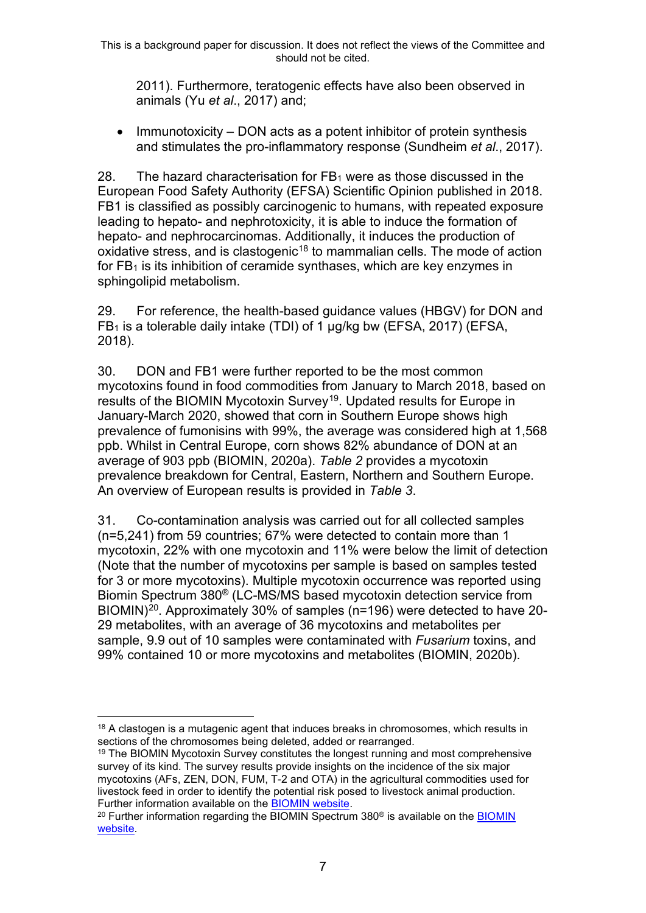2011). Furthermore, teratogenic effects have also been observed in animals (Yu *et al*., 2017) and;

• Immunotoxicity – DON acts as a potent inhibitor of protein synthesis and stimulates the pro-inflammatory response (Sundheim *et al*., 2017).

28. The hazard characterisation for  $FB<sub>1</sub>$  were as those discussed in the European Food Safety Authority (EFSA) Scientific Opinion published in 2018. FB1 is classified as possibly carcinogenic to humans, with repeated exposure leading to hepato- and nephrotoxicity, it is able to induce the formation of hepato- and nephrocarcinomas. Additionally, it induces the production of oxidative stress, and is clastogenic<sup>[18](#page-6-0)</sup> to mammalian cells. The mode of action for  $FB<sub>1</sub>$  is its inhibition of ceramide synthases, which are key enzymes in sphingolipid metabolism.

29. For reference, the health-based guidance values (HBGV) for DON and  $FB<sub>1</sub>$  is a tolerable daily intake (TDI) of 1  $\mu$ g/kg bw (EFSA, 2017) (EFSA, 2018).

30. DON and FB1 were further reported to be the most common mycotoxins found in food commodities from January to March 2018, based on results of the BIOMIN Mycotoxin Survey[19](#page-6-1). Updated results for Europe in January-March 2020, showed that corn in Southern Europe shows high prevalence of fumonisins with 99%, the average was considered high at 1,568 ppb. Whilst in Central Europe, corn shows 82% abundance of DON at an average of 903 ppb (BIOMIN, 2020a). *[Table 2](#page-7-0)* provides a mycotoxin prevalence breakdown for Central, Eastern, Northern and Southern Europe. An overview of European results is provided in *[Table 3](#page-7-1)*.

31. Co-contamination analysis was carried out for all collected samples (n=5,241) from 59 countries; 67% were detected to contain more than 1 mycotoxin, 22% with one mycotoxin and 11% were below the limit of detection (Note that the number of mycotoxins per sample is based on samples tested for 3 or more mycotoxins). Multiple mycotoxin occurrence was reported using Biomin Spectrum 380® (LC-MS/MS based mycotoxin detection service from BIOMIN)<sup>[20](#page-6-2)</sup>. Approximately 30% of samples (n=196) were detected to have 20-29 metabolites, with an average of 36 mycotoxins and metabolites per sample, 9.9 out of 10 samples were contaminated with *Fusarium* toxins, and 99% contained 10 or more mycotoxins and metabolites (BIOMIN, 2020b).

<span id="page-6-0"></span> $18$  A clastogen is a mutagenic agent that induces breaks in chromosomes, which results in sections of the chromosomes being deleted, added or rearranged.

<span id="page-6-1"></span><sup>&</sup>lt;sup>19</sup> The BIOMIN Mycotoxin Survey constitutes the longest running and most comprehensive survey of its kind. The survey results provide insights on the incidence of the six major mycotoxins (AFs, ZEN, DON, FUM, T-2 and OTA) in the agricultural commodities used for livestock feed in order to identify the potential risk posed to livestock animal production. Further information available on the [BIOMIN website.](https://www.biomin.net/solutions/mycotoxin-survey/)

<span id="page-6-2"></span> $20$  Further information regarding the [BIOMIN](https://www.biomin.net/solutions/mycotoxin-risk-management/mycotoxin-detection/spectrum-380/) Spectrum 380 $\textdegree$  is available on the BIOMIN [website.](https://www.biomin.net/solutions/mycotoxin-risk-management/mycotoxin-detection/spectrum-380/)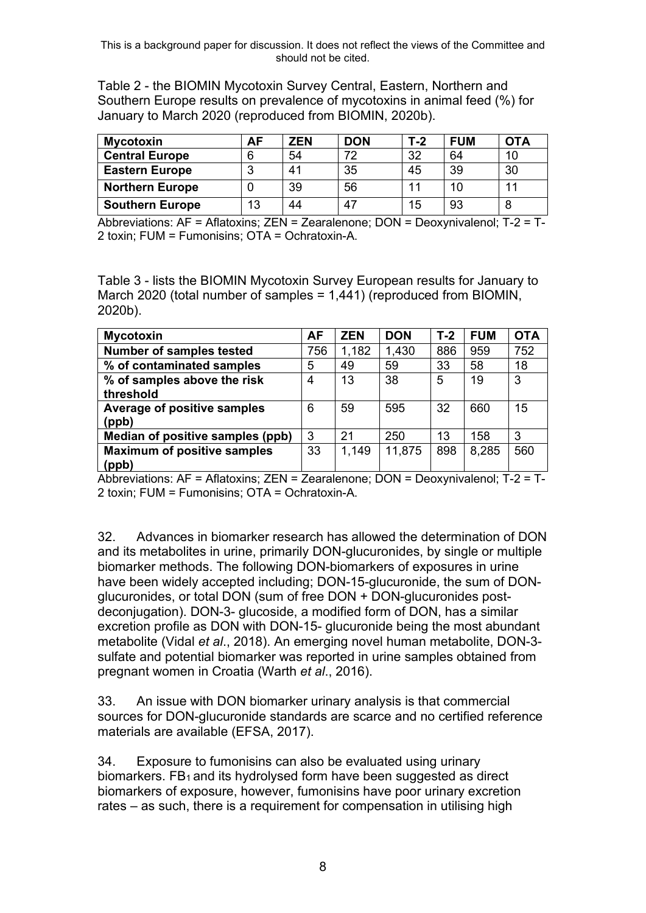<span id="page-7-0"></span>Table 2 - the BIOMIN Mycotoxin Survey Central, Eastern, Northern and Southern Europe results on prevalence of mycotoxins in animal feed (%) for January to March 2020 (reproduced from BIOMIN, 2020b).

| <b>Mycotoxin</b>       | AF | ZEN | <b>DON</b> | T-2 | <b>FUM</b> | <b>OTA</b> |
|------------------------|----|-----|------------|-----|------------|------------|
| <b>Central Europe</b>  |    | 54  | 72         | 32  | 64         | 10         |
| <b>Eastern Europe</b>  |    | 41  | 35         | 45  | 39         | 30         |
| <b>Northern Europe</b> |    | 39  | 56         | 11  | 10         | 11         |
| <b>Southern Europe</b> | 13 | 44  | 47         | 15  | 93         | 8          |

Abbreviations: AF = Aflatoxins; ZEN = Zearalenone; DON = Deoxynivalenol; T-2 = T-2 toxin; FUM = Fumonisins; OTA = Ochratoxin-A.

<span id="page-7-1"></span>Table 3 - lists the BIOMIN Mycotoxin Survey European results for January to March 2020 (total number of samples = 1,441) (reproduced from BIOMIN, 2020b).

| <b>Mycotoxin</b>                            | AF  | <b>ZEN</b> | <b>DON</b> | $T-2$ | <b>FUM</b> | <b>OTA</b> |
|---------------------------------------------|-----|------------|------------|-------|------------|------------|
| Number of samples tested                    | 756 | 1,182      | 1,430      | 886   | 959        | 752        |
| % of contaminated samples                   | 5   | 49         | 59         | 33    | 58         | 18         |
| % of samples above the risk<br>threshold    | 4   | 13         | 38         | 5     | 19         | 3          |
| Average of positive samples<br>(ppb)        | 6   | 59         | 595        | 32    | 660        | 15         |
| Median of positive samples (ppb)            | 3   | 21         | 250        | 13    | 158        | 3          |
| <b>Maximum of positive samples</b><br>(ppb) | 33  | 1,149      | 11,875     | 898   | 8,285      | 560        |

Abbreviations: AF = Aflatoxins; ZEN = Zearalenone; DON = Deoxynivalenol; T-2 = T-2 toxin; FUM = Fumonisins; OTA = Ochratoxin-A.

32. Advances in biomarker research has allowed the determination of DON and its metabolites in urine, primarily DON-glucuronides, by single or multiple biomarker methods. The following DON-biomarkers of exposures in urine have been widely accepted including; DON-15-glucuronide, the sum of DONglucuronides, or total DON (sum of free DON + DON-glucuronides postdeconjugation). DON-3- glucoside, a modified form of DON, has a similar excretion profile as DON with DON-15- glucuronide being the most abundant metabolite (Vidal *et al*., 2018). An emerging novel human metabolite, DON-3 sulfate and potential biomarker was reported in urine samples obtained from pregnant women in Croatia (Warth *et al*., 2016).

33. An issue with DON biomarker urinary analysis is that commercial sources for DON-glucuronide standards are scarce and no certified reference materials are available (EFSA, 2017).

34. Exposure to fumonisins can also be evaluated using urinary biomarkers.  $FB<sub>1</sub>$  and its hydrolysed form have been suggested as direct biomarkers of exposure, however, fumonisins have poor urinary excretion rates – as such, there is a requirement for compensation in utilising high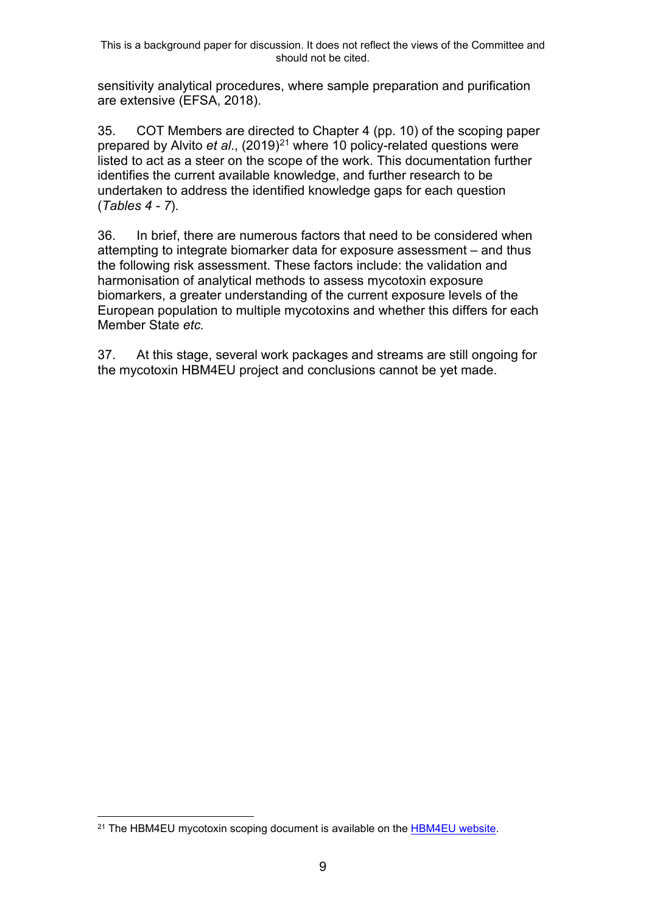sensitivity analytical procedures, where sample preparation and purification are extensive (EFSA, 2018).

35. COT Members are directed to Chapter 4 (pp. 10) of the scoping paper prepared by Alvito *et al.*, (2019)<sup>[21](#page-8-0)</sup> where 10 policy-related questions were listed to act as a steer on the scope of the work. This documentation further identifies the current available knowledge, and further research to be undertaken to address the identified knowledge gaps for each question (*[Tables](#page-9-0) 4 - [7](#page-11-0)*).

36. In brief, there are numerous factors that need to be considered when attempting to integrate biomarker data for exposure assessment – and thus the following risk assessment. These factors include: the validation and harmonisation of analytical methods to assess mycotoxin exposure biomarkers, a greater understanding of the current exposure levels of the European population to multiple mycotoxins and whether this differs for each Member State *etc.*

37. At this stage, several work packages and streams are still ongoing for the mycotoxin HBM4EU project and conclusions cannot be yet made.

<span id="page-8-0"></span><sup>&</sup>lt;sup>21</sup> The HBM4EU mycotoxin scoping document is available on the [HBM4EU website.](https://www.hbm4eu.eu/wp-content/uploads/2019/03/HBM4EU_Scoping-Document_Mycotoxins_v1.0.pdf)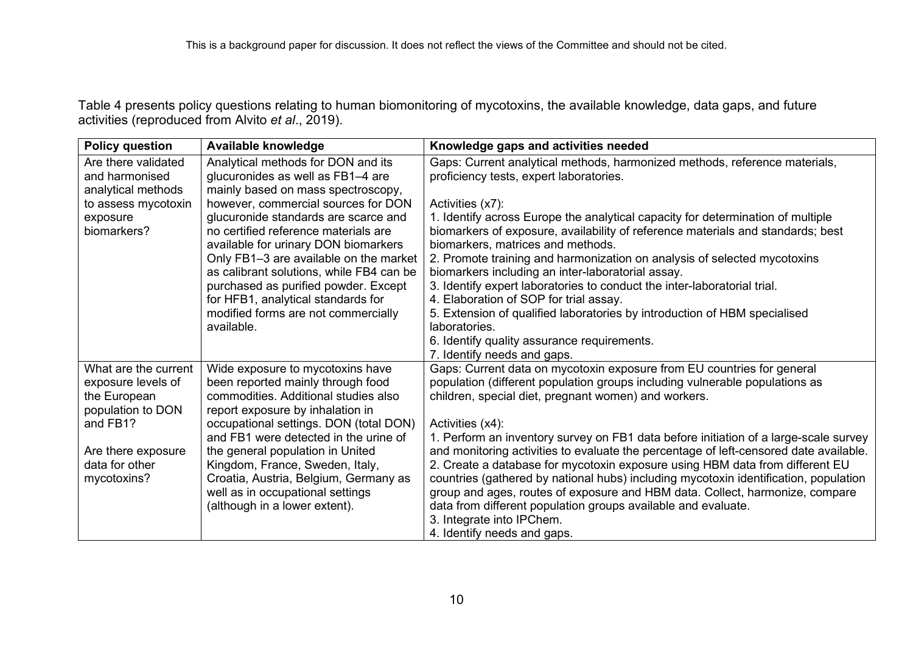Table 4 presents policy questions relating to human biomonitoring of mycotoxins, the available knowledge, data gaps, and future activities (reproduced from Alvito *et al*., 2019).

<span id="page-9-0"></span>

| <b>Policy question</b> | Available knowledge                      | Knowledge gaps and activities needed                                                  |
|------------------------|------------------------------------------|---------------------------------------------------------------------------------------|
| Are there validated    | Analytical methods for DON and its       | Gaps: Current analytical methods, harmonized methods, reference materials,            |
| and harmonised         | glucuronides as well as FB1-4 are        | proficiency tests, expert laboratories.                                               |
| analytical methods     | mainly based on mass spectroscopy,       |                                                                                       |
| to assess mycotoxin    | however, commercial sources for DON      | Activities (x7):                                                                      |
| exposure               | glucuronide standards are scarce and     | 1. Identify across Europe the analytical capacity for determination of multiple       |
| biomarkers?            | no certified reference materials are     | biomarkers of exposure, availability of reference materials and standards; best       |
|                        | available for urinary DON biomarkers     | biomarkers, matrices and methods.                                                     |
|                        | Only FB1-3 are available on the market   | 2. Promote training and harmonization on analysis of selected mycotoxins              |
|                        | as calibrant solutions, while FB4 can be | biomarkers including an inter-laboratorial assay.                                     |
|                        | purchased as purified powder. Except     | 3. Identify expert laboratories to conduct the inter-laboratorial trial.              |
|                        | for HFB1, analytical standards for       | 4. Elaboration of SOP for trial assay.                                                |
|                        | modified forms are not commercially      | 5. Extension of qualified laboratories by introduction of HBM specialised             |
|                        | available.                               | laboratories.                                                                         |
|                        |                                          | 6. Identify quality assurance requirements.                                           |
|                        |                                          | 7. Identify needs and gaps.                                                           |
| What are the current   | Wide exposure to mycotoxins have         | Gaps: Current data on mycotoxin exposure from EU countries for general                |
| exposure levels of     | been reported mainly through food        | population (different population groups including vulnerable populations as           |
| the European           | commodities. Additional studies also     | children, special diet, pregnant women) and workers.                                  |
| population to DON      | report exposure by inhalation in         |                                                                                       |
| and FB1?               | occupational settings. DON (total DON)   | Activities (x4):                                                                      |
|                        | and FB1 were detected in the urine of    | 1. Perform an inventory survey on FB1 data before initiation of a large-scale survey  |
| Are there exposure     | the general population in United         | and monitoring activities to evaluate the percentage of left-censored date available. |
| data for other         | Kingdom, France, Sweden, Italy,          | 2. Create a database for mycotoxin exposure using HBM data from different EU          |
| mycotoxins?            | Croatia, Austria, Belgium, Germany as    | countries (gathered by national hubs) including mycotoxin identification, population  |
|                        | well as in occupational settings         | group and ages, routes of exposure and HBM data. Collect, harmonize, compare          |
|                        | (although in a lower extent).            | data from different population groups available and evaluate.                         |
|                        |                                          | 3. Integrate into IPChem.                                                             |
|                        |                                          | 4. Identify needs and gaps.                                                           |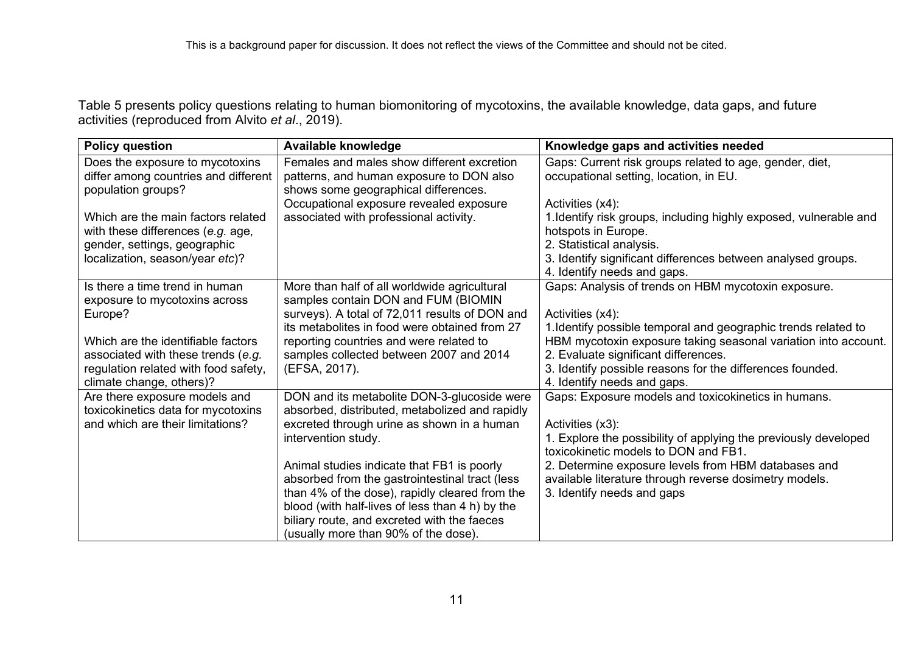Table 5 presents policy questions relating to human biomonitoring of mycotoxins, the available knowledge, data gaps, and future activities (reproduced from Alvito *et al*., 2019).

| <b>Policy question</b>                                                                        | Available knowledge                                                                                                            | Knowledge gaps and activities needed                                                                                             |
|-----------------------------------------------------------------------------------------------|--------------------------------------------------------------------------------------------------------------------------------|----------------------------------------------------------------------------------------------------------------------------------|
| Does the exposure to mycotoxins<br>differ among countries and different<br>population groups? | Females and males show different excretion<br>patterns, and human exposure to DON also<br>shows some geographical differences. | Gaps: Current risk groups related to age, gender, diet,<br>occupational setting, location, in EU.                                |
|                                                                                               | Occupational exposure revealed exposure                                                                                        | Activities (x4):                                                                                                                 |
| Which are the main factors related<br>with these differences (e.g. age,                       | associated with professional activity.                                                                                         | 1. Identify risk groups, including highly exposed, vulnerable and<br>hotspots in Europe.                                         |
| gender, settings, geographic                                                                  |                                                                                                                                | 2. Statistical analysis.                                                                                                         |
| localization, season/year etc)?                                                               |                                                                                                                                | 3. Identify significant differences between analysed groups.                                                                     |
| Is there a time trend in human                                                                | More than half of all worldwide agricultural                                                                                   | 4. Identify needs and gaps.<br>Gaps: Analysis of trends on HBM mycotoxin exposure.                                               |
| exposure to mycotoxins across                                                                 | samples contain DON and FUM (BIOMIN                                                                                            |                                                                                                                                  |
| Europe?                                                                                       | surveys). A total of 72,011 results of DON and                                                                                 | Activities (x4):                                                                                                                 |
| Which are the identifiable factors                                                            | its metabolites in food were obtained from 27<br>reporting countries and were related to                                       | 1. Identify possible temporal and geographic trends related to<br>HBM mycotoxin exposure taking seasonal variation into account. |
| associated with these trends (e.g.                                                            | samples collected between 2007 and 2014                                                                                        | 2. Evaluate significant differences.                                                                                             |
| regulation related with food safety,                                                          | (EFSA, 2017).                                                                                                                  | 3. Identify possible reasons for the differences founded.                                                                        |
| climate change, others)?                                                                      |                                                                                                                                | 4. Identify needs and gaps.                                                                                                      |
| Are there exposure models and                                                                 | DON and its metabolite DON-3-glucoside were                                                                                    | Gaps: Exposure models and toxicokinetics in humans.                                                                              |
| toxicokinetics data for mycotoxins<br>and which are their limitations?                        | absorbed, distributed, metabolized and rapidly<br>excreted through urine as shown in a human                                   | Activities (x3):                                                                                                                 |
|                                                                                               | intervention study.                                                                                                            | 1. Explore the possibility of applying the previously developed                                                                  |
|                                                                                               |                                                                                                                                | toxicokinetic models to DON and FB1.                                                                                             |
|                                                                                               | Animal studies indicate that FB1 is poorly                                                                                     | 2. Determine exposure levels from HBM databases and                                                                              |
|                                                                                               | absorbed from the gastrointestinal tract (less                                                                                 | available literature through reverse dosimetry models.                                                                           |
|                                                                                               | than 4% of the dose), rapidly cleared from the<br>blood (with half-lives of less than 4 h) by the                              | 3. Identify needs and gaps                                                                                                       |
|                                                                                               | biliary route, and excreted with the faeces                                                                                    |                                                                                                                                  |
|                                                                                               | (usually more than 90% of the dose).                                                                                           |                                                                                                                                  |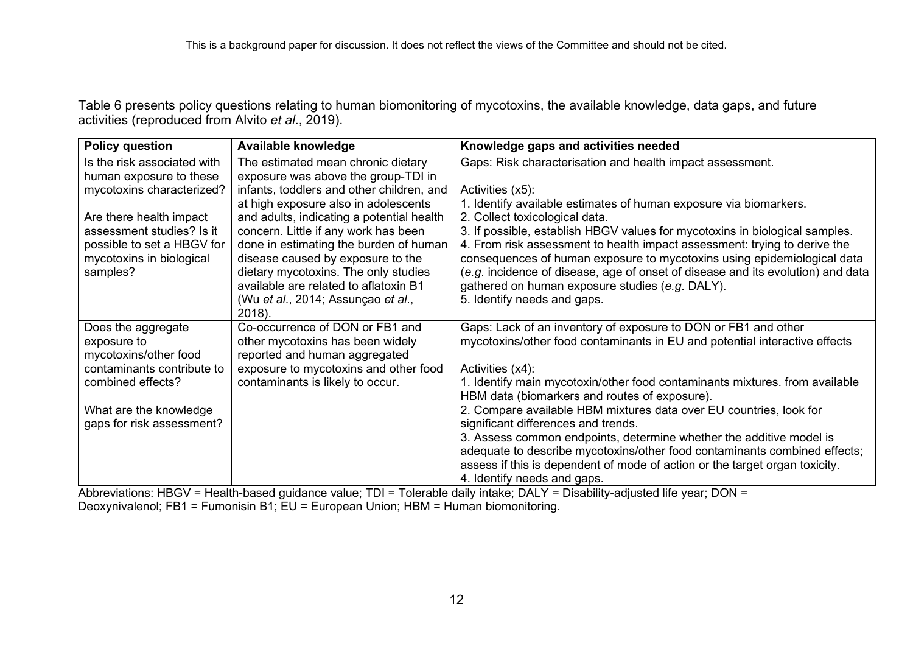Table 6 presents policy questions relating to human biomonitoring of mycotoxins, the available knowledge, data gaps, and future activities (reproduced from Alvito *et al*., 2019).

| <b>Policy question</b>      | Available knowledge                                                           | Knowledge gaps and activities needed                                            |
|-----------------------------|-------------------------------------------------------------------------------|---------------------------------------------------------------------------------|
| Is the risk associated with | The estimated mean chronic dietary                                            | Gaps: Risk characterisation and health impact assessment.                       |
| human exposure to these     | exposure was above the group-TDI in                                           |                                                                                 |
| mycotoxins characterized?   | infants, toddlers and other children, and                                     | Activities (x5):                                                                |
|                             | at high exposure also in adolescents                                          | 1. Identify available estimates of human exposure via biomarkers.               |
| Are there health impact     | and adults, indicating a potential health                                     | 2. Collect toxicological data.                                                  |
| assessment studies? Is it   | concern. Little if any work has been                                          | 3. If possible, establish HBGV values for mycotoxins in biological samples.     |
| possible to set a HBGV for  | done in estimating the burden of human                                        | 4. From risk assessment to health impact assessment: trying to derive the       |
| mycotoxins in biological    | disease caused by exposure to the                                             | consequences of human exposure to mycotoxins using epidemiological data         |
| samples?                    | dietary mycotoxins. The only studies<br>available are related to aflatoxin B1 | (e.g. incidence of disease, age of onset of disease and its evolution) and data |
|                             | (Wu et al., 2014; Assunçao et al.,                                            | gathered on human exposure studies (e.g. DALY).<br>5. Identify needs and gaps.  |
|                             | 2018).                                                                        |                                                                                 |
| Does the aggregate          | Co-occurrence of DON or FB1 and                                               | Gaps: Lack of an inventory of exposure to DON or FB1 and other                  |
| exposure to                 | other mycotoxins has been widely                                              | mycotoxins/other food contaminants in EU and potential interactive effects      |
| mycotoxins/other food       | reported and human aggregated                                                 |                                                                                 |
| contaminants contribute to  | exposure to mycotoxins and other food                                         | Activities (x4):                                                                |
| combined effects?           | contaminants is likely to occur.                                              | 1. Identify main mycotoxin/other food contaminants mixtures. from available     |
|                             |                                                                               | HBM data (biomarkers and routes of exposure).                                   |
| What are the knowledge      |                                                                               | 2. Compare available HBM mixtures data over EU countries, look for              |
| gaps for risk assessment?   |                                                                               | significant differences and trends.                                             |
|                             |                                                                               | 3. Assess common endpoints, determine whether the additive model is             |
|                             |                                                                               | adequate to describe mycotoxins/other food contaminants combined effects;       |
|                             |                                                                               | assess if this is dependent of mode of action or the target organ toxicity.     |
|                             |                                                                               | 4. Identify needs and gaps.                                                     |

<span id="page-11-0"></span>Abbreviations: HBGV = Health-based guidance value; TDI = Tolerable daily intake; DALY = Disability-adjusted life year; DON = Deoxynivalenol; FB1 = Fumonisin B1; EU = European Union; HBM = Human biomonitoring.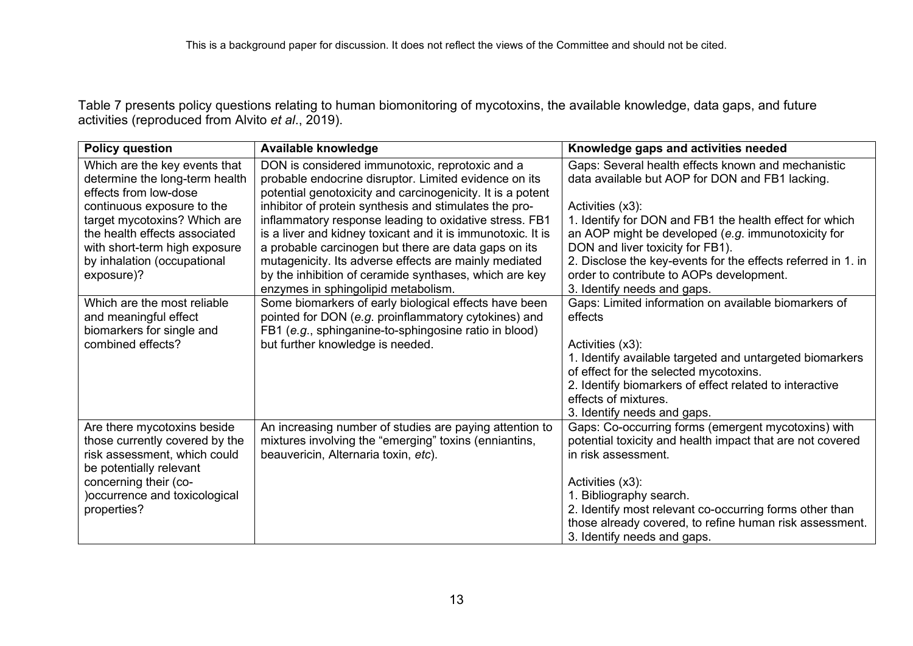Table 7 presents policy questions relating to human biomonitoring of mycotoxins, the available knowledge, data gaps, and future activities (reproduced from Alvito *et al*., 2019).

| <b>Policy question</b>                                                                                                                                                    | Available knowledge                                                                                                                                                                                                                                                                                                                                        | Knowledge gaps and activities needed                                                                                                                                                                                                                                              |
|---------------------------------------------------------------------------------------------------------------------------------------------------------------------------|------------------------------------------------------------------------------------------------------------------------------------------------------------------------------------------------------------------------------------------------------------------------------------------------------------------------------------------------------------|-----------------------------------------------------------------------------------------------------------------------------------------------------------------------------------------------------------------------------------------------------------------------------------|
| Which are the key events that<br>determine the long-term health<br>effects from low-dose                                                                                  | DON is considered immunotoxic, reprotoxic and a<br>probable endocrine disruptor. Limited evidence on its<br>potential genotoxicity and carcinogenicity. It is a potent                                                                                                                                                                                     | Gaps: Several health effects known and mechanistic<br>data available but AOP for DON and FB1 lacking.                                                                                                                                                                             |
| continuous exposure to the<br>target mycotoxins? Which are<br>the health effects associated<br>with short-term high exposure<br>by inhalation (occupational<br>exposure)? | inhibitor of protein synthesis and stimulates the pro-<br>inflammatory response leading to oxidative stress. FB1<br>is a liver and kidney toxicant and it is immunotoxic. It is<br>a probable carcinogen but there are data gaps on its<br>mutagenicity. Its adverse effects are mainly mediated<br>by the inhibition of ceramide synthases, which are key | Activities (x3):<br>1. Identify for DON and FB1 the health effect for which<br>an AOP might be developed (e.g. immunotoxicity for<br>DON and liver toxicity for FB1).<br>2. Disclose the key-events for the effects referred in 1. in<br>order to contribute to AOPs development. |
|                                                                                                                                                                           | enzymes in sphingolipid metabolism.                                                                                                                                                                                                                                                                                                                        | 3. Identify needs and gaps.                                                                                                                                                                                                                                                       |
| Which are the most reliable<br>and meaningful effect<br>biomarkers for single and<br>combined effects?                                                                    | Some biomarkers of early biological effects have been<br>pointed for DON (e.g. proinflammatory cytokines) and<br>FB1 (e.g., sphinganine-to-sphingosine ratio in blood)<br>but further knowledge is needed.                                                                                                                                                 | Gaps: Limited information on available biomarkers of<br>effects<br>Activities (x3):<br>1. Identify available targeted and untargeted biomarkers<br>of effect for the selected mycotoxins.<br>2. Identify biomarkers of effect related to interactive                              |
|                                                                                                                                                                           |                                                                                                                                                                                                                                                                                                                                                            | effects of mixtures.<br>3. Identify needs and gaps.                                                                                                                                                                                                                               |
| Are there mycotoxins beside<br>those currently covered by the<br>risk assessment, which could<br>be potentially relevant                                                  | An increasing number of studies are paying attention to<br>mixtures involving the "emerging" toxins (enniantins,<br>beauvericin, Alternaria toxin, etc).                                                                                                                                                                                                   | Gaps: Co-occurring forms (emergent mycotoxins) with<br>potential toxicity and health impact that are not covered<br>in risk assessment.                                                                                                                                           |
| concerning their (co-<br>)occurrence and toxicological<br>properties?                                                                                                     |                                                                                                                                                                                                                                                                                                                                                            | Activities (x3):<br>1. Bibliography search.<br>2. Identify most relevant co-occurring forms other than<br>those already covered, to refine human risk assessment.<br>3. Identify needs and gaps.                                                                                  |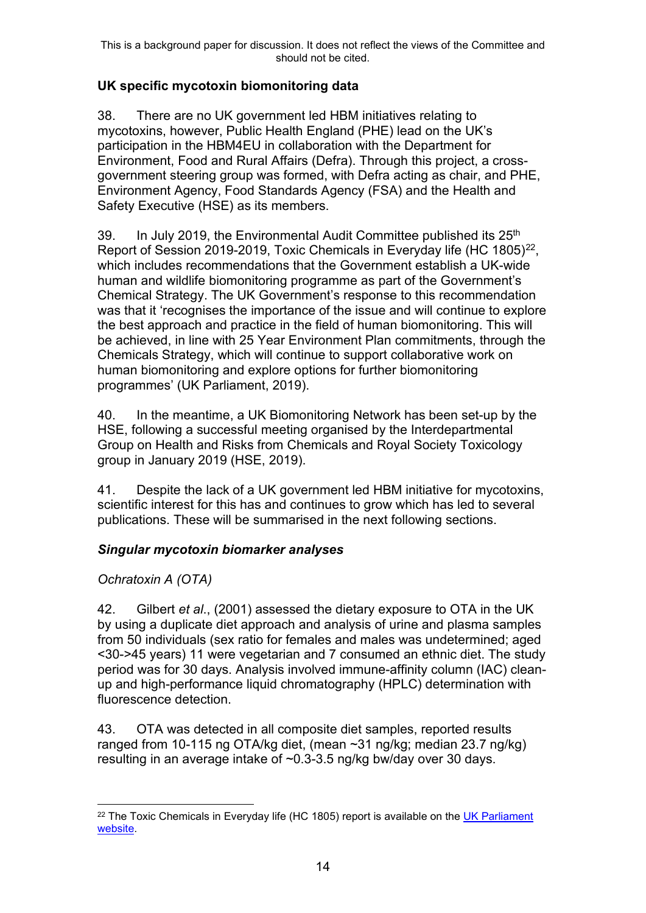## **UK specific mycotoxin biomonitoring data**

38. There are no UK government led HBM initiatives relating to mycotoxins, however, Public Health England (PHE) lead on the UK's participation in the HBM4EU in collaboration with the Department for Environment, Food and Rural Affairs (Defra). Through this project, a crossgovernment steering group was formed, with Defra acting as chair, and PHE, Environment Agency, Food Standards Agency (FSA) and the Health and Safety Executive (HSE) as its members.

39. In July 2019, the Environmental Audit Committee published its 25<sup>th</sup> Report of Session 2019-2019, Toxic Chemicals in Everyday life (HC 1805)<sup>22</sup>. which includes recommendations that the Government establish a UK-wide human and wildlife biomonitoring programme as part of the Government's Chemical Strategy. The UK Government's response to this recommendation was that it 'recognises the importance of the issue and will continue to explore the best approach and practice in the field of human biomonitoring. This will be achieved, in line with 25 Year Environment Plan commitments, through the Chemicals Strategy, which will continue to support collaborative work on human biomonitoring and explore options for further biomonitoring programmes' (UK Parliament, 2019).

40. In the meantime, a UK Biomonitoring Network has been set-up by the HSE, following a successful meeting organised by the Interdepartmental Group on Health and Risks from Chemicals and Royal Society Toxicology group in January 2019 (HSE, 2019).

41. Despite the lack of a UK government led HBM initiative for mycotoxins, scientific interest for this has and continues to grow which has led to several publications. These will be summarised in the next following sections.

## *Singular mycotoxin biomarker analyses*

## *Ochratoxin A (OTA)*

42. Gilbert *et al*., (2001) assessed the dietary exposure to OTA in the UK by using a duplicate diet approach and analysis of urine and plasma samples from 50 individuals (sex ratio for females and males was undetermined; aged <30->45 years) 11 were vegetarian and 7 consumed an ethnic diet. The study period was for 30 days. Analysis involved immune-affinity column (IAC) cleanup and high-performance liquid chromatography (HPLC) determination with fluorescence detection.

43. OTA was detected in all composite diet samples, reported results ranged from 10-115 ng OTA/kg diet, (mean ~31 ng/kg; median 23.7 ng/kg) resulting in an average intake of ~0.3-3.5 ng/kg bw/day over 30 days.

<span id="page-13-0"></span> $22$  The Toxic Chemicals in Everyday life (HC 1805) report is available on the UK Parliament [website.](https://publications.parliament.uk/pa/cm201719/cmselect/cmenvaud/1805/1805.pdf)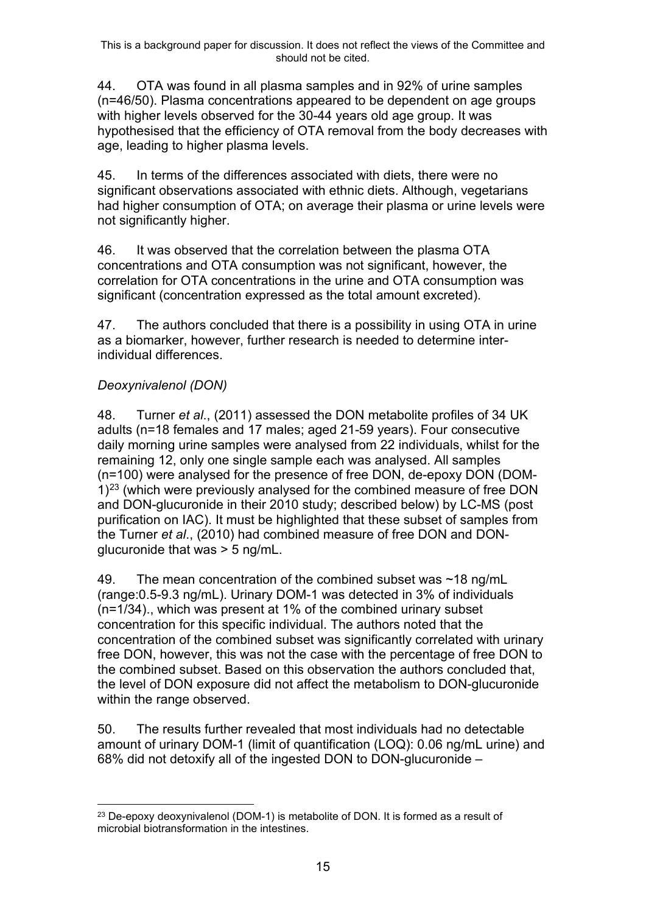44. OTA was found in all plasma samples and in 92% of urine samples (n=46/50). Plasma concentrations appeared to be dependent on age groups with higher levels observed for the 30-44 years old age group. It was hypothesised that the efficiency of OTA removal from the body decreases with age, leading to higher plasma levels.

45. In terms of the differences associated with diets, there were no significant observations associated with ethnic diets. Although, vegetarians had higher consumption of OTA; on average their plasma or urine levels were not significantly higher.

46. It was observed that the correlation between the plasma OTA concentrations and OTA consumption was not significant, however, the correlation for OTA concentrations in the urine and OTA consumption was significant (concentration expressed as the total amount excreted).

47. The authors concluded that there is a possibility in using OTA in urine as a biomarker, however, further research is needed to determine interindividual differences.

## *Deoxynivalenol (DON)*

48. Turner *et al*., (2011) assessed the DON metabolite profiles of 34 UK adults (n=18 females and 17 males; aged 21-59 years). Four consecutive daily morning urine samples were analysed from 22 individuals, whilst for the remaining 12, only one single sample each was analysed. All samples (n=100) were analysed for the presence of free DON, de-epoxy DON (DOM- $1$ <sup>[23](#page-14-0)</sup> (which were previously analysed for the combined measure of free DON and DON-glucuronide in their 2010 study; described below) by LC-MS (post purification on IAC). It must be highlighted that these subset of samples from the Turner *et al*., (2010) had combined measure of free DON and DONglucuronide that was > 5 ng/mL.

49. The mean concentration of the combined subset was ~18 ng/mL (range:0.5-9.3 ng/mL). Urinary DOM-1 was detected in 3% of individuals (n=1/34)., which was present at 1% of the combined urinary subset concentration for this specific individual. The authors noted that the concentration of the combined subset was significantly correlated with urinary free DON, however, this was not the case with the percentage of free DON to the combined subset. Based on this observation the authors concluded that, the level of DON exposure did not affect the metabolism to DON-glucuronide within the range observed.

50. The results further revealed that most individuals had no detectable amount of urinary DOM-1 (limit of quantification (LOQ): 0.06 ng/mL urine) and 68% did not detoxify all of the ingested DON to DON-glucuronide –

<span id="page-14-0"></span><sup>&</sup>lt;sup>23</sup> De-epoxy deoxynivalenol (DOM-1) is metabolite of DON. It is formed as a result of microbial biotransformation in the intestines.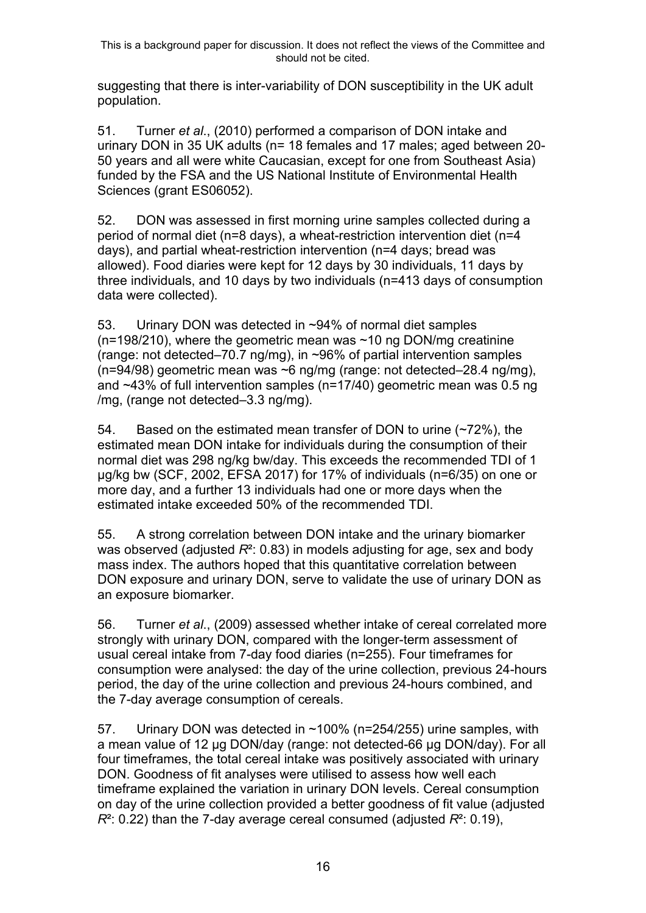suggesting that there is inter-variability of DON susceptibility in the UK adult population.

51. Turner *et al*., (2010) performed a comparison of DON intake and urinary DON in 35 UK adults (n= 18 females and 17 males; aged between 20- 50 years and all were white Caucasian, except for one from Southeast Asia) funded by the FSA and the US National Institute of Environmental Health Sciences (grant ES06052).

52. DON was assessed in first morning urine samples collected during a period of normal diet (n=8 days), a wheat-restriction intervention diet (n=4 days), and partial wheat-restriction intervention (n=4 days; bread was allowed). Food diaries were kept for 12 days by 30 individuals, 11 days by three individuals, and 10 days by two individuals (n=413 days of consumption data were collected).

53. Urinary DON was detected in ~94% of normal diet samples  $(n=198/210)$ , where the geometric mean was  $\sim$ 10 ng DON/mg creatinine (range: not detected–70.7 ng/mg), in ~96% of partial intervention samples (n=94/98) geometric mean was ~6 ng/mg (range: not detected–28.4 ng/mg), and ~43% of full intervention samples (n=17/40) geometric mean was 0.5 ng /mg, (range not detected–3.3 ng/mg).

54. Based on the estimated mean transfer of DON to urine (~72%), the estimated mean DON intake for individuals during the consumption of their normal diet was 298 ng/kg bw/day. This exceeds the recommended TDI of 1 µg/kg bw (SCF, 2002, EFSA 2017) for 17% of individuals (n=6/35) on one or more day, and a further 13 individuals had one or more days when the estimated intake exceeded 50% of the recommended TDI.

55. A strong correlation between DON intake and the urinary biomarker was observed (adjusted  $R^2$ : 0.83) in models adjusting for age, sex and body mass index. The authors hoped that this quantitative correlation between DON exposure and urinary DON, serve to validate the use of urinary DON as an exposure biomarker.

56. Turner *et al*., (2009) assessed whether intake of cereal correlated more strongly with urinary DON, compared with the longer-term assessment of usual cereal intake from 7-day food diaries (n=255). Four timeframes for consumption were analysed: the day of the urine collection, previous 24-hours period, the day of the urine collection and previous 24-hours combined, and the 7-day average consumption of cereals.

57. Urinary DON was detected in ~100% (n=254/255) urine samples, with a mean value of 12 µg DON/day (range: not detected-66 µg DON/day). For all four timeframes, the total cereal intake was positively associated with urinary DON. Goodness of fit analyses were utilised to assess how well each timeframe explained the variation in urinary DON levels. Cereal consumption on day of the urine collection provided a better goodness of fit value (adjusted *R*²: 0.22) than the 7-day average cereal consumed (adjusted *R*²: 0.19),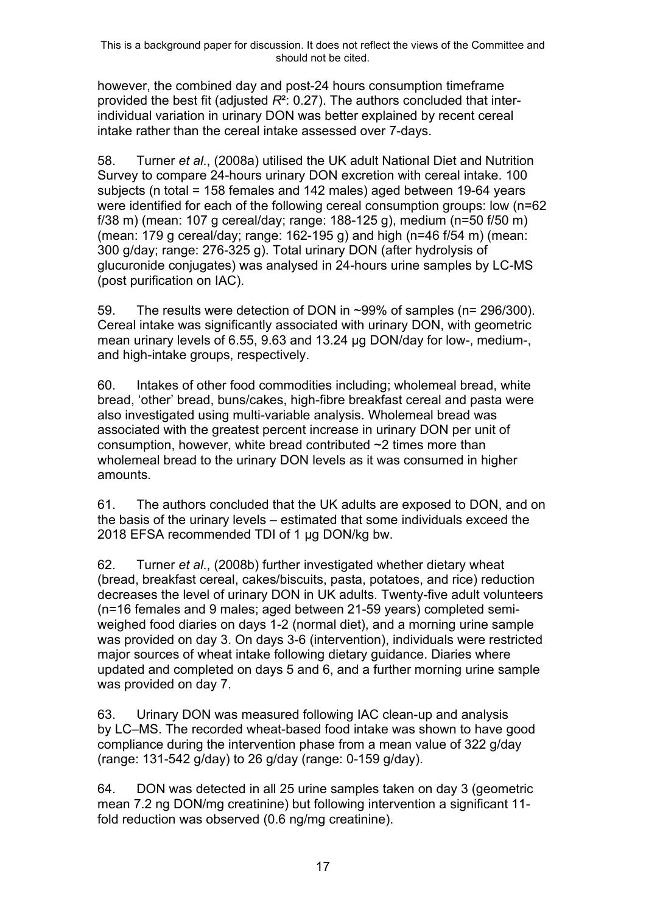however, the combined day and post-24 hours consumption timeframe provided the best fit (adjusted *R*²: 0.27). The authors concluded that interindividual variation in urinary DON was better explained by recent cereal intake rather than the cereal intake assessed over 7-days.

58. Turner *et al*., (2008a) utilised the UK adult National Diet and Nutrition Survey to compare 24-hours urinary DON excretion with cereal intake. 100 subjects (n total = 158 females and 142 males) aged between 19-64 years were identified for each of the following cereal consumption groups: low (n=62 f/38 m) (mean: 107 g cereal/day; range: 188-125 g), medium (n=50 f/50 m) (mean: 179 g cereal/day; range: 162-195 g) and high (n=46 f/54 m) (mean: 300 g/day; range: 276-325 g). Total urinary DON (after hydrolysis of glucuronide conjugates) was analysed in 24-hours urine samples by LC-MS (post purification on IAC).

59. The results were detection of DON in ~99% of samples (n= 296/300). Cereal intake was significantly associated with urinary DON, with geometric mean urinary levels of 6.55, 9.63 and 13.24 µg DON/day for low-, medium-, and high-intake groups, respectively.

60. Intakes of other food commodities including; wholemeal bread, white bread, 'other' bread, buns/cakes, high-fibre breakfast cereal and pasta were also investigated using multi-variable analysis. Wholemeal bread was associated with the greatest percent increase in urinary DON per unit of consumption, however, white bread contributed ~2 times more than wholemeal bread to the urinary DON levels as it was consumed in higher amounts.

61. The authors concluded that the UK adults are exposed to DON, and on the basis of the urinary levels – estimated that some individuals exceed the 2018 EFSA recommended TDI of 1 µg DON/kg bw.

62. Turner *et al*., (2008b) further investigated whether dietary wheat (bread, breakfast cereal, cakes/biscuits, pasta, potatoes, and rice) reduction decreases the level of urinary DON in UK adults. Twenty-five adult volunteers (n=16 females and 9 males; aged between 21-59 years) completed semiweighed food diaries on days 1-2 (normal diet), and a morning urine sample was provided on day 3. On days 3-6 (intervention), individuals were restricted major sources of wheat intake following dietary guidance. Diaries where updated and completed on days 5 and 6, and a further morning urine sample was provided on day 7.

63. Urinary DON was measured following IAC clean-up and analysis by LC–MS. The recorded wheat-based food intake was shown to have good compliance during the intervention phase from a mean value of 322 g/day (range: 131-542 g/day) to 26 g/day (range: 0-159 g/day).

64. DON was detected in all 25 urine samples taken on day 3 (geometric mean 7.2 ng DON/mg creatinine) but following intervention a significant 11 fold reduction was observed (0.6 ng/mg creatinine).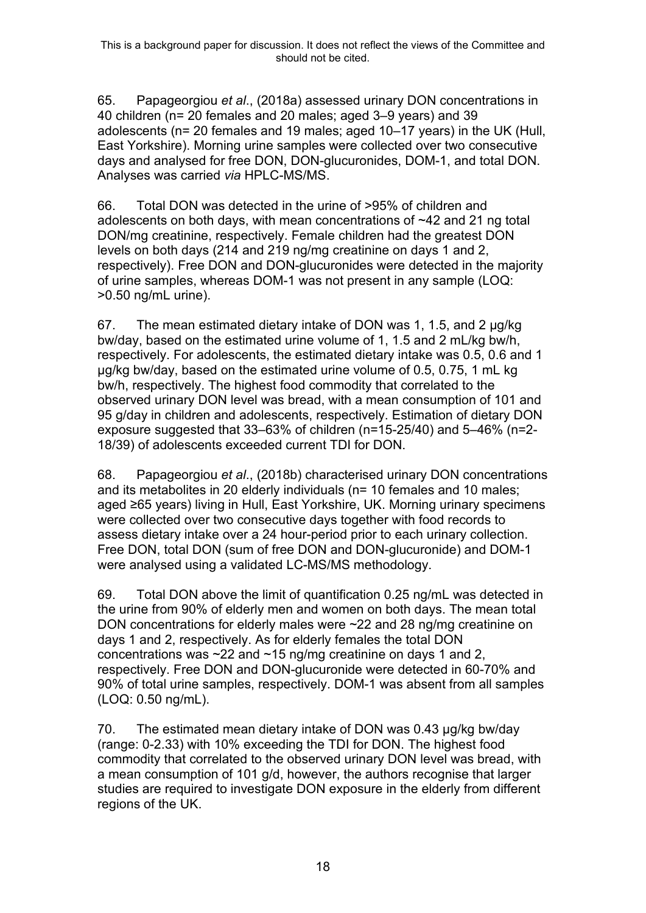65. Papageorgiou *et al*., (2018a) assessed urinary DON concentrations in 40 children (n= 20 females and 20 males; aged 3–9 years) and 39 adolescents (n= 20 females and 19 males; aged 10–17 years) in the UK (Hull, East Yorkshire). Morning urine samples were collected over two consecutive days and analysed for free DON, DON-glucuronides, DOM-1, and total DON. Analyses was carried *via* HPLC-MS/MS.

66. Total DON was detected in the urine of >95% of children and adolescents on both days, with mean concentrations of ~42 and 21 ng total DON/mg creatinine, respectively. Female children had the greatest DON levels on both days (214 and 219 ng/mg creatinine on days 1 and 2, respectively). Free DON and DON-glucuronides were detected in the majority of urine samples, whereas DOM-1 was not present in any sample (LOQ: >0.50 ng/mL urine).

67. The mean estimated dietary intake of DON was 1, 1.5, and 2 µg/kg bw/day, based on the estimated urine volume of 1, 1.5 and 2 mL/kg bw/h, respectively. For adolescents, the estimated dietary intake was 0.5, 0.6 and 1 µg/kg bw/day, based on the estimated urine volume of 0.5, 0.75, 1 mL kg bw/h, respectively. The highest food commodity that correlated to the observed urinary DON level was bread, with a mean consumption of 101 and 95 g/day in children and adolescents, respectively. Estimation of dietary DON exposure suggested that 33–63% of children (n=15-25/40) and 5–46% (n=2- 18/39) of adolescents exceeded current TDI for DON.

68. Papageorgiou *et al*., (2018b) characterised urinary DON concentrations and its metabolites in 20 elderly individuals (n= 10 females and 10 males; aged ≥65 years) living in Hull, East Yorkshire, UK. Morning urinary specimens were collected over two consecutive days together with food records to assess dietary intake over a 24 hour-period prior to each urinary collection. Free DON, total DON (sum of free DON and DON-glucuronide) and DOM-1 were analysed using a validated LC-MS/MS methodology.

69. Total DON above the limit of quantification 0.25 ng/mL was detected in the urine from 90% of elderly men and women on both days. The mean total DON concentrations for elderly males were ~22 and 28 ng/mg creatinine on days 1 and 2, respectively. As for elderly females the total DON concentrations was  $\sim$ 22 and  $\sim$ 15 ng/mg creatinine on days 1 and 2, respectively. Free DON and DON-glucuronide were detected in 60-70% and 90% of total urine samples, respectively. DOM-1 was absent from all samples (LOQ: 0.50 ng/mL).

70. The estimated mean dietary intake of DON was 0.43 µg/kg bw/day (range: 0-2.33) with 10% exceeding the TDI for DON. The highest food commodity that correlated to the observed urinary DON level was bread, with a mean consumption of 101 g/d, however, the authors recognise that larger studies are required to investigate DON exposure in the elderly from different regions of the UK.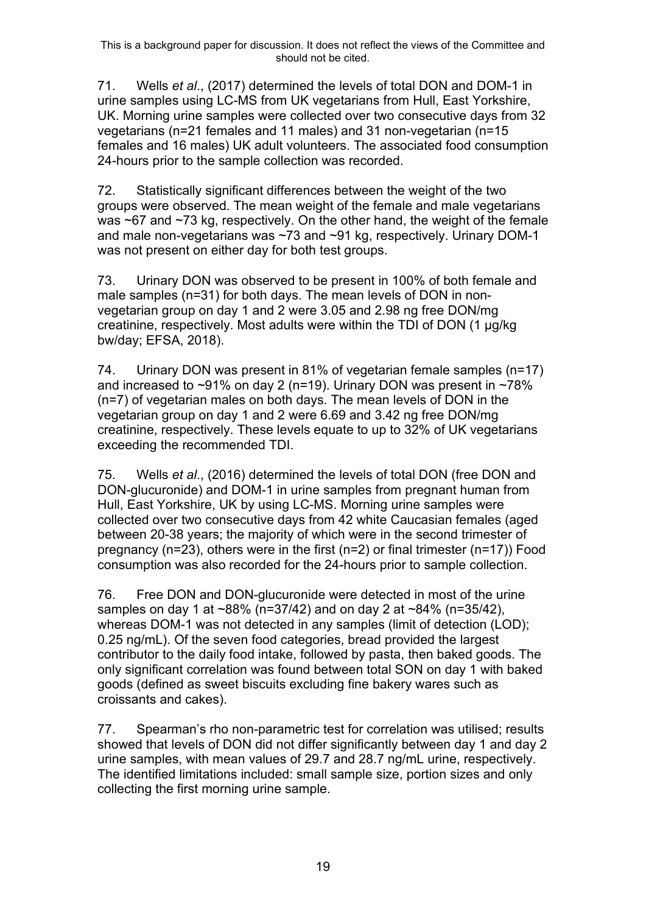71. Wells *et al*., (2017) determined the levels of total DON and DOM-1 in urine samples using LC-MS from UK vegetarians from Hull, East Yorkshire, UK. Morning urine samples were collected over two consecutive days from 32 vegetarians (n=21 females and 11 males) and 31 non-vegetarian (n=15 females and 16 males) UK adult volunteers. The associated food consumption 24-hours prior to the sample collection was recorded.

72. Statistically significant differences between the weight of the two groups were observed. The mean weight of the female and male vegetarians was ~67 and ~73 kg, respectively. On the other hand, the weight of the female and male non-vegetarians was ~73 and ~91 kg, respectively. Urinary DOM-1 was not present on either day for both test groups.

73. Urinary DON was observed to be present in 100% of both female and male samples (n=31) for both days. The mean levels of DON in nonvegetarian group on day 1 and 2 were 3.05 and 2.98 ng free DON/mg creatinine, respectively. Most adults were within the TDI of DON (1 µg/kg bw/day; EFSA, 2018).

74. Urinary DON was present in 81% of vegetarian female samples (n=17) and increased to ~91% on day 2 (n=19). Urinary DON was present in ~78% (n=7) of vegetarian males on both days. The mean levels of DON in the vegetarian group on day 1 and 2 were 6.69 and 3.42 ng free DON/mg creatinine, respectively. These levels equate to up to 32% of UK vegetarians exceeding the recommended TDI.

75. Wells *et al*., (2016) determined the levels of total DON (free DON and DON-glucuronide) and DOM-1 in urine samples from pregnant human from Hull, East Yorkshire, UK by using LC-MS. Morning urine samples were collected over two consecutive days from 42 white Caucasian females (aged between 20-38 years; the majority of which were in the second trimester of pregnancy (n=23), others were in the first (n=2) or final trimester (n=17)) Food consumption was also recorded for the 24-hours prior to sample collection.

76. Free DON and DON-glucuronide were detected in most of the urine samples on day 1 at ~88% (n=37/42) and on day 2 at ~84% (n=35/42), whereas DOM-1 was not detected in any samples (limit of detection (LOD); 0.25 ng/mL). Of the seven food categories, bread provided the largest contributor to the daily food intake, followed by pasta, then baked goods. The only significant correlation was found between total SON on day 1 with baked goods (defined as sweet biscuits excluding fine bakery wares such as croissants and cakes).

77. Spearman's rho non-parametric test for correlation was utilised; results showed that levels of DON did not differ significantly between day 1 and day 2 urine samples, with mean values of 29.7 and 28.7 ng/mL urine, respectively. The identified limitations included: small sample size, portion sizes and only collecting the first morning urine sample.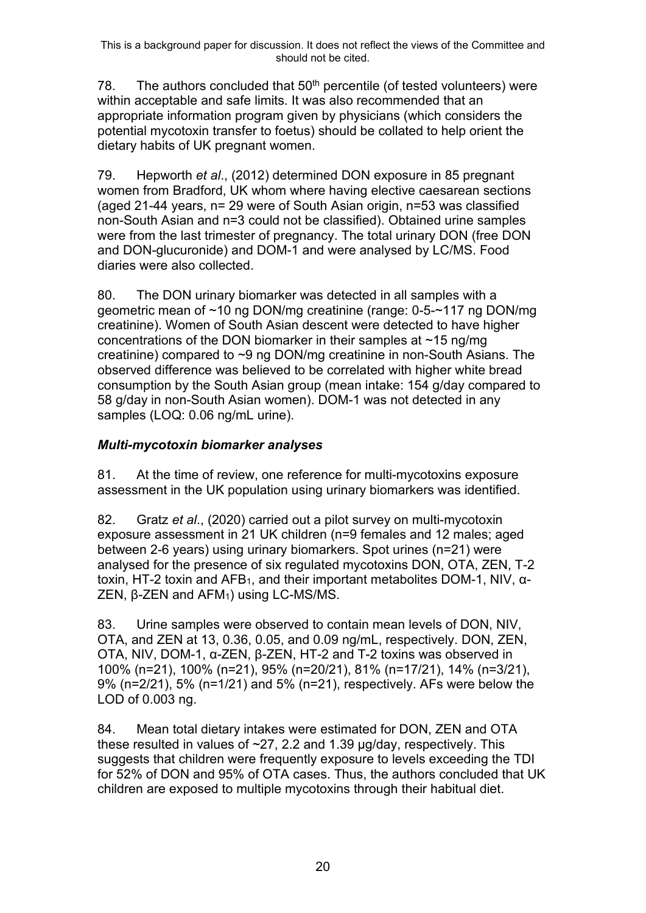78. The authors concluded that  $50<sup>th</sup>$  percentile (of tested volunteers) were within acceptable and safe limits. It was also recommended that an appropriate information program given by physicians (which considers the potential mycotoxin transfer to foetus) should be collated to help orient the dietary habits of UK pregnant women.

79. Hepworth *et al*., (2012) determined DON exposure in 85 pregnant women from Bradford, UK whom where having elective caesarean sections (aged 21-44 years, n= 29 were of South Asian origin, n=53 was classified non-South Asian and n=3 could not be classified). Obtained urine samples were from the last trimester of pregnancy. The total urinary DON (free DON and DON-glucuronide) and DOM-1 and were analysed by LC/MS. Food diaries were also collected.

80. The DON urinary biomarker was detected in all samples with a geometric mean of ~10 ng DON/mg creatinine (range: 0-5-~117 ng DON/mg creatinine). Women of South Asian descent were detected to have higher concentrations of the DON biomarker in their samples at ~15 ng/mg creatinine) compared to ~9 ng DON/mg creatinine in non-South Asians. The observed difference was believed to be correlated with higher white bread consumption by the South Asian group (mean intake: 154 g/day compared to 58 g/day in non-South Asian women). DOM-1 was not detected in any samples (LOQ: 0.06 ng/mL urine).

## *Multi-mycotoxin biomarker analyses*

81. At the time of review, one reference for multi-mycotoxins exposure assessment in the UK population using urinary biomarkers was identified.

82. Gratz *et al*., (2020) carried out a pilot survey on multi-mycotoxin exposure assessment in 21 UK children (n=9 females and 12 males; aged between 2-6 years) using urinary biomarkers. Spot urines (n=21) were analysed for the presence of six regulated mycotoxins DON, OTA, ZEN, T-2 toxin, HT-2 toxin and AFB1, and their important metabolites DOM-1, NIV, α-ZEN, β-ZEN and AFM1) using LC-MS/MS.

83. Urine samples were observed to contain mean levels of DON, NIV, OTA, and ZEN at 13, 0.36, 0.05, and 0.09 ng/mL, respectively. DON, ZEN, OTA, NIV, DOM-1, α-ZEN, β-ZEN, HT-2 and T-2 toxins was observed in 100% (n=21), 100% (n=21), 95% (n=20/21), 81% (n=17/21), 14% (n=3/21), 9% (n=2/21), 5% (n=1/21) and 5% (n=21), respectively. AFs were below the LOD of 0.003 ng.

84. Mean total dietary intakes were estimated for DON, ZEN and OTA these resulted in values of  $\approx$ 27, 2.2 and 1.39  $\mu$ g/day, respectively. This suggests that children were frequently exposure to levels exceeding the TDI for 52% of DON and 95% of OTA cases. Thus, the authors concluded that UK children are exposed to multiple mycotoxins through their habitual diet.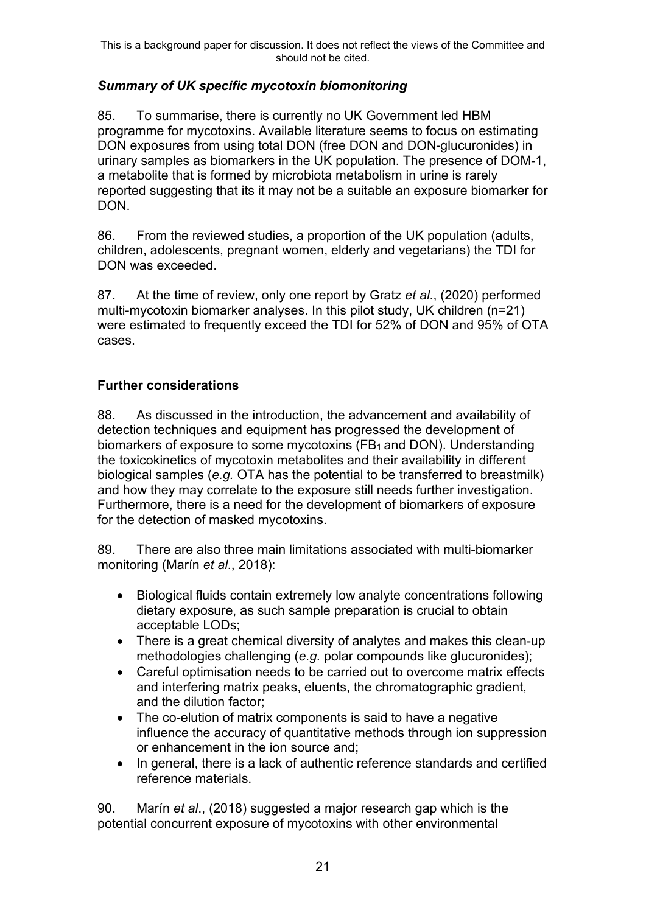### *Summary of UK specific mycotoxin biomonitoring*

85. To summarise, there is currently no UK Government led HBM programme for mycotoxins. Available literature seems to focus on estimating DON exposures from using total DON (free DON and DON-glucuronides) in urinary samples as biomarkers in the UK population. The presence of DOM-1, a metabolite that is formed by microbiota metabolism in urine is rarely reported suggesting that its it may not be a suitable an exposure biomarker for DON.

86. From the reviewed studies, a proportion of the UK population (adults, children, adolescents, pregnant women, elderly and vegetarians) the TDI for DON was exceeded.

87. At the time of review, only one report by Gratz *et al*., (2020) performed multi-mycotoxin biomarker analyses. In this pilot study, UK children (n=21) were estimated to frequently exceed the TDI for 52% of DON and 95% of OTA cases.

### **Further considerations**

88. As discussed in the introduction, the advancement and availability of detection techniques and equipment has progressed the development of biomarkers of exposure to some mycotoxins (FB<sub>1</sub> and DON). Understanding the toxicokinetics of mycotoxin metabolites and their availability in different biological samples (*e.g.* OTA has the potential to be transferred to breastmilk) and how they may correlate to the exposure still needs further investigation. Furthermore, there is a need for the development of biomarkers of exposure for the detection of masked mycotoxins.

89. There are also three main limitations associated with multi-biomarker monitoring (Marín *et al*., 2018):

- Biological fluids contain extremely low analyte concentrations following dietary exposure, as such sample preparation is crucial to obtain acceptable LODs;
- There is a great chemical diversity of analytes and makes this clean-up methodologies challenging (*e.g.* polar compounds like glucuronides);
- Careful optimisation needs to be carried out to overcome matrix effects and interfering matrix peaks, eluents, the chromatographic gradient, and the dilution factor;
- The co-elution of matrix components is said to have a negative influence the accuracy of quantitative methods through ion suppression or enhancement in the ion source and;
- In general, there is a lack of authentic reference standards and certified reference materials.

90. Marín *et al*., (2018) suggested a major research gap which is the potential concurrent exposure of mycotoxins with other environmental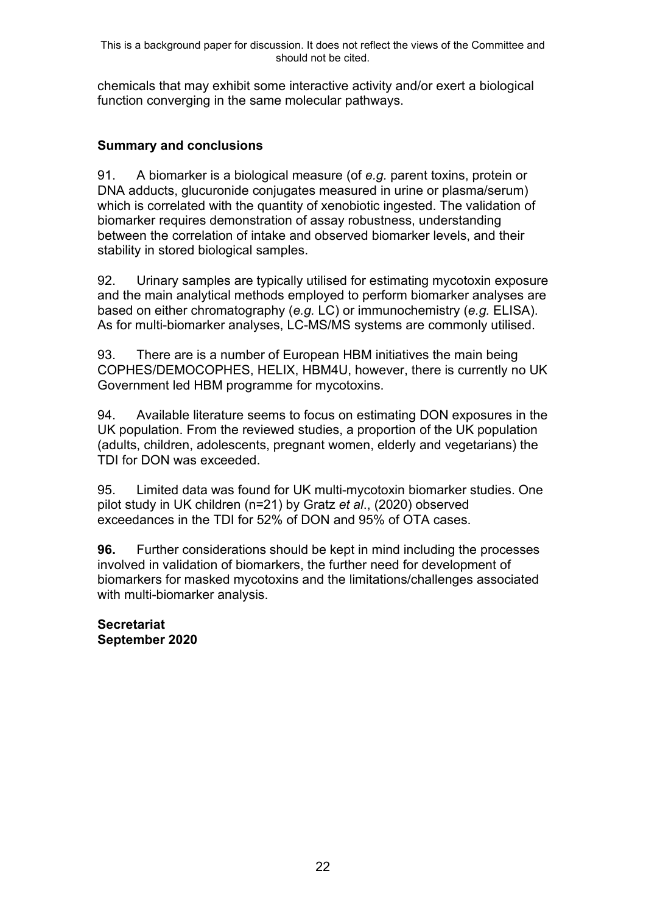chemicals that may exhibit some interactive activity and/or exert a biological function converging in the same molecular pathways.

## **Summary and conclusions**

91. A biomarker is a biological measure (of *e.g.* parent toxins, protein or DNA adducts, glucuronide conjugates measured in urine or plasma/serum) which is correlated with the quantity of xenobiotic ingested. The validation of biomarker requires demonstration of assay robustness, understanding between the correlation of intake and observed biomarker levels, and their stability in stored biological samples.

92. Urinary samples are typically utilised for estimating mycotoxin exposure and the main analytical methods employed to perform biomarker analyses are based on either chromatography (*e.g.* LC) or immunochemistry (*e.g.* ELISA). As for multi-biomarker analyses, LC-MS/MS systems are commonly utilised.

93. There are is a number of European HBM initiatives the main being COPHES/DEMOCOPHES, HELIX, HBM4U, however, there is currently no UK Government led HBM programme for mycotoxins.

94. Available literature seems to focus on estimating DON exposures in the UK population. From the reviewed studies, a proportion of the UK population (adults, children, adolescents, pregnant women, elderly and vegetarians) the TDI for DON was exceeded.

95. Limited data was found for UK multi-mycotoxin biomarker studies. One pilot study in UK children (n=21) by Gratz *et al*., (2020) observed exceedances in the TDI for 52% of DON and 95% of OTA cases.

**96.** Further considerations should be kept in mind including the processes involved in validation of biomarkers, the further need for development of biomarkers for masked mycotoxins and the limitations/challenges associated with multi-biomarker analysis.

**Secretariat September 2020**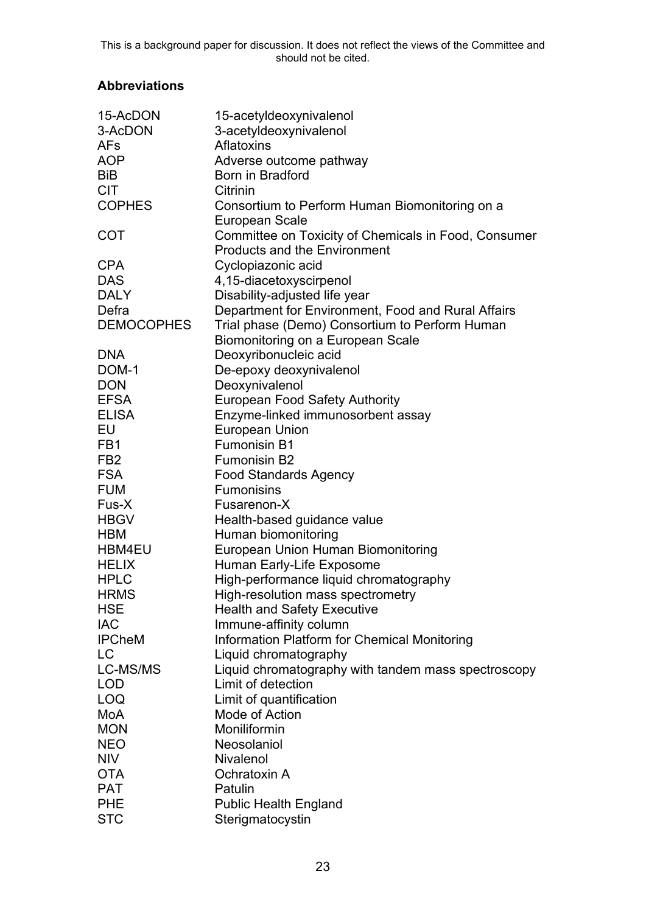# **Abbreviations**

| 15-AcDON          | 15-acetyldeoxynivalenol                                                                     |
|-------------------|---------------------------------------------------------------------------------------------|
| 3-AcDON           | 3-acetyldeoxynivalenol                                                                      |
| <b>AFs</b>        | Aflatoxins                                                                                  |
| <b>AOP</b>        | Adverse outcome pathway                                                                     |
| <b>BiB</b>        | <b>Born in Bradford</b>                                                                     |
| <b>CIT</b>        | Citrinin                                                                                    |
| <b>COPHES</b>     | Consortium to Perform Human Biomonitoring on a<br>European Scale                            |
| <b>COT</b>        | Committee on Toxicity of Chemicals in Food, Consumer<br><b>Products and the Environment</b> |
| <b>CPA</b>        | Cyclopiazonic acid                                                                          |
| <b>DAS</b>        | 4,15-diacetoxyscirpenol                                                                     |
| <b>DALY</b>       | Disability-adjusted life year                                                               |
| Defra             |                                                                                             |
|                   | Department for Environment, Food and Rural Affairs                                          |
| <b>DEMOCOPHES</b> | Trial phase (Demo) Consortium to Perform Human                                              |
|                   | Biomonitoring on a European Scale                                                           |
| <b>DNA</b>        | Deoxyribonucleic acid                                                                       |
| DOM-1             | De-epoxy deoxynivalenol                                                                     |
| <b>DON</b>        | Deoxynivalenol                                                                              |
| <b>EFSA</b>       | <b>European Food Safety Authority</b>                                                       |
| <b>ELISA</b>      | Enzyme-linked immunosorbent assay                                                           |
| EU                | <b>European Union</b>                                                                       |
| FB <sub>1</sub>   | <b>Fumonisin B1</b>                                                                         |
| FB <sub>2</sub>   | <b>Fumonisin B2</b>                                                                         |
| <b>FSA</b>        | <b>Food Standards Agency</b>                                                                |
| <b>FUM</b>        | <b>Fumonisins</b>                                                                           |
| Fus-X             | Fusarenon-X                                                                                 |
| <b>HBGV</b>       | Health-based guidance value                                                                 |
| <b>HBM</b>        | Human biomonitoring                                                                         |
| HBM4EU            | European Union Human Biomonitoring                                                          |
| <b>HELIX</b>      | Human Early-Life Exposome                                                                   |
| <b>HPLC</b>       | High-performance liquid chromatography                                                      |
| <b>HRMS</b>       | High-resolution mass spectrometry                                                           |
| <b>HSE</b>        | <b>Health and Safety Executive</b>                                                          |
| <b>IAC</b>        | Immune-affinity column                                                                      |
| <b>IPCheM</b>     | Information Platform for Chemical Monitoring                                                |
| <b>LC</b>         | Liquid chromatography                                                                       |
| LC-MS/MS          | Liquid chromatography with tandem mass spectroscopy                                         |
| <b>LOD</b>        | Limit of detection                                                                          |
| <b>LOQ</b>        | Limit of quantification                                                                     |
| MoA               | Mode of Action                                                                              |
| <b>MON</b>        | Moniliformin                                                                                |
| <b>NEO</b>        | Neosolaniol                                                                                 |
| <b>NIV</b>        | <b>Nivalenol</b>                                                                            |
| <b>OTA</b>        | Ochratoxin A                                                                                |
| <b>PAT</b>        | Patulin                                                                                     |
| <b>PHE</b>        | <b>Public Health England</b>                                                                |
| <b>STC</b>        | Sterigmatocystin                                                                            |
|                   |                                                                                             |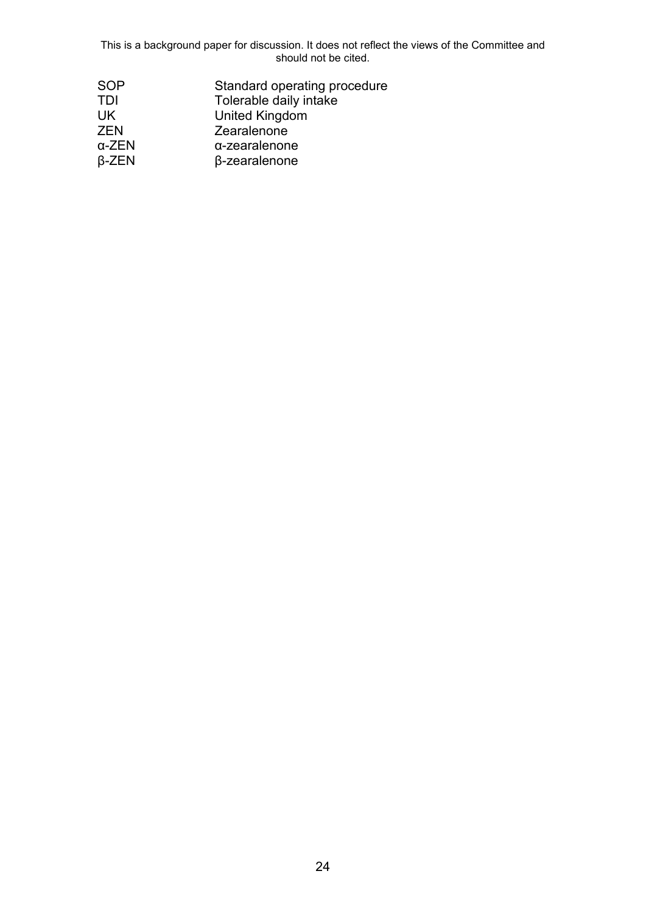| SOP   | Standard operating procedure |
|-------|------------------------------|
| TDI   | Tolerable daily intake       |
| UK    | United Kingdom               |
| ZEN   | Zearalenone                  |
| α-ZEN | $\alpha$ -zearalenone        |
| β-ZEN | $\beta$ -zearalenone         |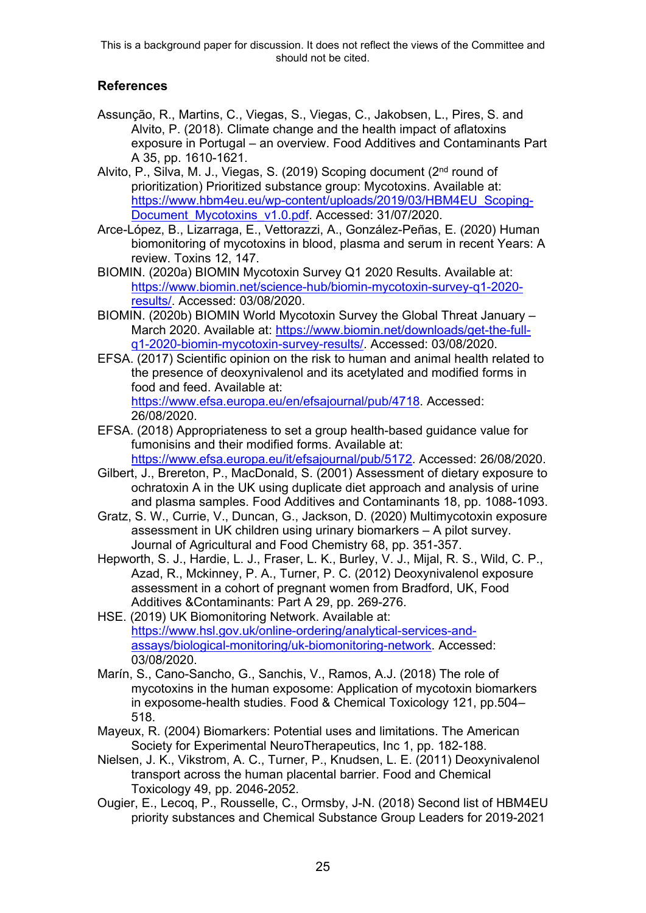### **References**

- Assunção, R., Martins, C., Viegas, S., Viegas, C., Jakobsen, L., Pires, S. and Alvito, P. (2018). Climate change and the health impact of aflatoxins exposure in Portugal – an overview. Food Additives and Contaminants Part A 35, pp. 1610-1621.
- Alvito, P., Silva, M. J., Viegas, S. (2019) Scoping document (2nd round of prioritization) Prioritized substance group: Mycotoxins. Available at: [https://www.hbm4eu.eu/wp-content/uploads/2019/03/HBM4EU\\_Scoping-](https://www.hbm4eu.eu/wp-content/uploads/2019/03/HBM4EU_Scoping-Document_Mycotoxins_v1.0.pdf)[Document\\_Mycotoxins\\_v1.0.pdf.](https://www.hbm4eu.eu/wp-content/uploads/2019/03/HBM4EU_Scoping-Document_Mycotoxins_v1.0.pdf) Accessed: 31/07/2020.
- Arce-López, B., Lizarraga, E., Vettorazzi, A., González-Peñas, E. (2020) Human biomonitoring of mycotoxins in blood, plasma and serum in recent Years: A review. Toxins 12, 147.
- BIOMIN. (2020a) BIOMIN Mycotoxin Survey Q1 2020 Results. Available at: [https://www.biomin.net/science-hub/biomin-mycotoxin-survey-q1-2020](https://www.biomin.net/science-hub/biomin-mycotoxin-survey-q1-2020-results/) [results/.](https://www.biomin.net/science-hub/biomin-mycotoxin-survey-q1-2020-results/) Accessed: 03/08/2020.
- BIOMIN. (2020b) BIOMIN World Mycotoxin Survey the Global Threat January March 2020. Available at: [https://www.biomin.net/downloads/get-the-full](https://www.biomin.net/downloads/get-the-full-q1-2020-biomin-mycotoxin-survey-results/)[q1-2020-biomin-mycotoxin-survey-results/.](https://www.biomin.net/downloads/get-the-full-q1-2020-biomin-mycotoxin-survey-results/) Accessed: 03/08/2020.
- EFSA. (2017) Scientific opinion on the risk to human and animal health related to the presence of deoxynivalenol and its acetylated and modified forms in food and feed. Available at: [https://www.efsa.europa.eu/en/efsajournal/pub/4718.](https://www.efsa.europa.eu/en/efsajournal/pub/4718) Accessed: 26/08/2020.
- EFSA. (2018) Appropriateness to set a group health-based guidance value for fumonisins and their modified forms. Available at: [https://www.efsa.europa.eu/it/efsajournal/pub/5172.](https://www.efsa.europa.eu/it/efsajournal/pub/5172) Accessed: 26/08/2020.
- Gilbert, J., Brereton, P., MacDonald, S. (2001) Assessment of dietary exposure to ochratoxin A in the UK using duplicate diet approach and analysis of urine and plasma samples. Food Additives and Contaminants 18, pp. 1088-1093.
- Gratz, S. W., Currie, V., Duncan, G., Jackson, D. (2020) Multimycotoxin exposure assessment in UK children using urinary biomarkers – A pilot survey. Journal of Agricultural and Food Chemistry 68, pp. 351-357.
- Hepworth, S. J., Hardie, L. J., Fraser, L. K., Burley, V. J., Mijal, R. S., Wild, C. P., Azad, R., Mckinney, P. A., Turner, P. C. (2012) Deoxynivalenol exposure assessment in a cohort of pregnant women from Bradford, UK, Food Additives &Contaminants: Part A 29, pp. 269-276.
- HSE. (2019) UK Biomonitoring Network. Available at: [https://www.hsl.gov.uk/online-ordering/analytical-services-and](https://www.hsl.gov.uk/online-ordering/analytical-services-and-assays/biological-monitoring/uk-biomonitoring-network)[assays/biological-monitoring/uk-biomonitoring-network.](https://www.hsl.gov.uk/online-ordering/analytical-services-and-assays/biological-monitoring/uk-biomonitoring-network) Accessed: 03/08/2020.
- Marín, S., Cano-Sancho, G., Sanchis, V., Ramos, A.J. (2018) The role of mycotoxins in the human exposome: Application of mycotoxin biomarkers in exposome-health studies. Food & Chemical Toxicology 121, pp.504– 518.
- Mayeux, R. (2004) Biomarkers: Potential uses and limitations. The American Society for Experimental NeuroTherapeutics, Inc 1, pp. 182-188.
- Nielsen, J. K., Vikstrom, A. C., Turner, P., Knudsen, L. E. (2011) Deoxynivalenol transport across the human placental barrier. Food and Chemical Toxicology 49, pp. 2046-2052.
- Ougier, E., Lecoq, P., Rousselle, C., Ormsby, J-N. (2018) Second list of HBM4EU priority substances and Chemical Substance Group Leaders for 2019-2021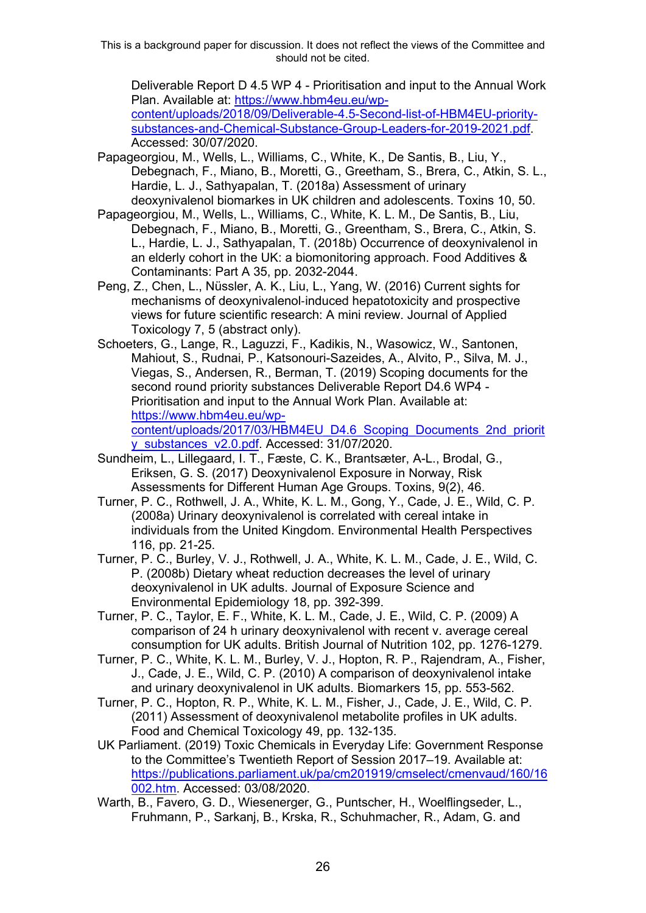Deliverable Report D 4.5 WP 4 - Prioritisation and input to the Annual Work Plan. Available at: [https://www.hbm4eu.eu/wp](https://www.hbm4eu.eu/wp-content/uploads/2018/09/Deliverable-4.5-Second-list-of-HBM4EU-priority-substances-and-Chemical-Substance-Group-Leaders-for-2019-2021.pdf)[content/uploads/2018/09/Deliverable-4.5-Second-list-of-HBM4EU-priority](https://www.hbm4eu.eu/wp-content/uploads/2018/09/Deliverable-4.5-Second-list-of-HBM4EU-priority-substances-and-Chemical-Substance-Group-Leaders-for-2019-2021.pdf)[substances-and-Chemical-Substance-Group-Leaders-for-2019-2021.pdf.](https://www.hbm4eu.eu/wp-content/uploads/2018/09/Deliverable-4.5-Second-list-of-HBM4EU-priority-substances-and-Chemical-Substance-Group-Leaders-for-2019-2021.pdf) Accessed: 30/07/2020.

Papageorgiou, M., Wells, L., Williams, C., White, K., De Santis, B., Liu, Y., Debegnach, F., Miano, B., Moretti, G., Greetham, S., Brera, C., Atkin, S. L., Hardie, L. J., Sathyapalan, T. (2018a) Assessment of urinary deoxynivalenol biomarkes in UK children and adolescents. Toxins 10, 50.

- Papageorgiou, M., Wells, L., Williams, C., White, K. L. M., De Santis, B., Liu, Debegnach, F., Miano, B., Moretti, G., Greentham, S., Brera, C., Atkin, S. L., Hardie, L. J., Sathyapalan, T. (2018b) Occurrence of deoxynivalenol in an elderly cohort in the UK: a biomonitoring approach. Food Additives & Contaminants: Part A 35, pp. 2032-2044.
- Peng, Z., Chen, L., Nüssler, A. K., Liu, L., Yang, W. (2016) Current sights for mechanisms of deoxynivalenol‐induced hepatotoxicity and prospective views for future scientific research: A mini review. Journal of Applied Toxicology 7, 5 (abstract only).
- Schoeters, G., Lange, R., Laguzzi, F., Kadikis, N., Wasowicz, W., Santonen, Mahiout, S., Rudnai, P., Katsonouri-Sazeides, A., Alvito, P., Silva, M. J., Viegas, S., Andersen, R., Berman, T. (2019) Scoping documents for the second round priority substances Deliverable Report D4.6 WP4 - Prioritisation and input to the Annual Work Plan. Available at: [https://www.hbm4eu.eu/wp-](https://www.hbm4eu.eu/wp-content/uploads/2017/03/HBM4EU_D4.6_Scoping_Documents_2nd_priority_substances_v2.0.pdf)

[content/uploads/2017/03/HBM4EU\\_D4.6\\_Scoping\\_Documents\\_2nd\\_priorit](https://www.hbm4eu.eu/wp-content/uploads/2017/03/HBM4EU_D4.6_Scoping_Documents_2nd_priority_substances_v2.0.pdf) [y\\_substances\\_v2.0.pdf.](https://www.hbm4eu.eu/wp-content/uploads/2017/03/HBM4EU_D4.6_Scoping_Documents_2nd_priority_substances_v2.0.pdf) Accessed: 31/07/2020.

- Sundheim, L., Lillegaard, I. T., Fæste, C. K., Brantsæter, A-L., Brodal, G., Eriksen, G. S. (2017) Deoxynivalenol Exposure in Norway, Risk Assessments for Different Human Age Groups. Toxins, 9(2), 46.
- Turner, P. C., Rothwell, J. A., White, K. L. M., Gong, Y., Cade, J. E., Wild, C. P. (2008a) Urinary deoxynivalenol is correlated with cereal intake in individuals from the United Kingdom. Environmental Health Perspectives 116, pp. 21-25.
- Turner, P. C., Burley, V. J., Rothwell, J. A., White, K. L. M., Cade, J. E., Wild, C. P. (2008b) Dietary wheat reduction decreases the level of urinary deoxynivalenol in UK adults. Journal of Exposure Science and Environmental Epidemiology 18, pp. 392-399.
- Turner, P. C., Taylor, E. F., White, K. L. M., Cade, J. E., Wild, C. P. (2009) A comparison of 24 h urinary deoxynivalenol with recent v. average cereal consumption for UK adults. British Journal of Nutrition 102, pp. 1276-1279.
- Turner, P. C., White, K. L. M., Burley, V. J., Hopton, R. P., Rajendram, A., Fisher, J., Cade, J. E., Wild, C. P. (2010) A comparison of deoxynivalenol intake and urinary deoxynivalenol in UK adults. Biomarkers 15, pp. 553-562.
- Turner, P. C., Hopton, R. P., White, K. L. M., Fisher, J., Cade, J. E., Wild, C. P. (2011) Assessment of deoxynivalenol metabolite profiles in UK adults. Food and Chemical Toxicology 49, pp. 132-135.
- UK Parliament. (2019) Toxic Chemicals in Everyday Life: Government Response to the Committee's Twentieth Report of Session 2017–19. Available at: [https://publications.parliament.uk/pa/cm201919/cmselect/cmenvaud/160/16](https://publications.parliament.uk/pa/cm201919/cmselect/cmenvaud/160/16002.htm) [002.htm.](https://publications.parliament.uk/pa/cm201919/cmselect/cmenvaud/160/16002.htm) Accessed: 03/08/2020.
- Warth, B., Favero, G. D., Wiesenerger, G., Puntscher, H., Woelflingseder, L., Fruhmann, P., Sarkanj, B., Krska, R., Schuhmacher, R., Adam, G. and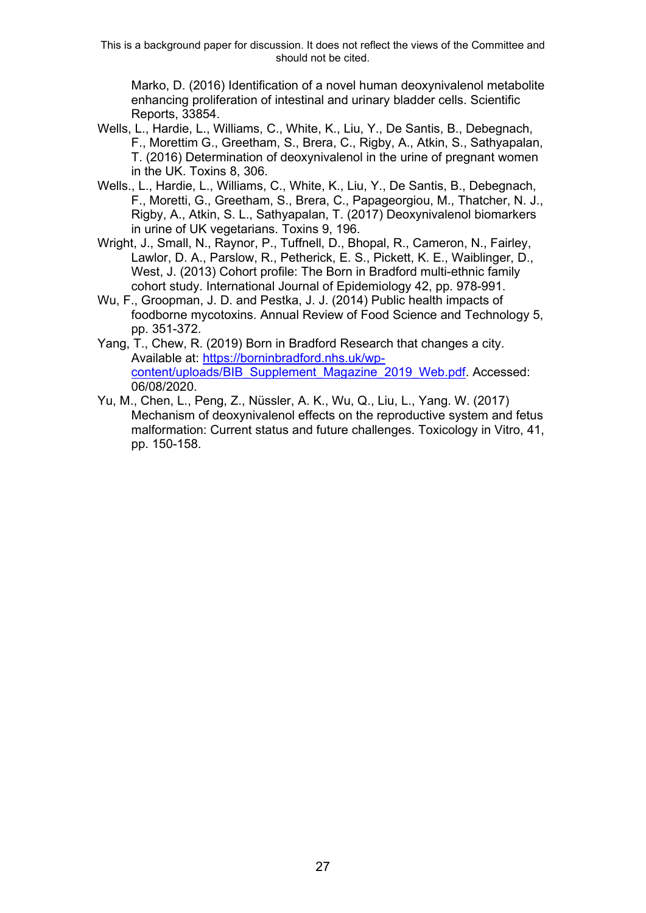Marko, D. (2016) Identification of a novel human deoxynivalenol metabolite enhancing proliferation of intestinal and urinary bladder cells. Scientific Reports, 33854.

- Wells, L., Hardie, L., Williams, C., White, K., Liu, Y., De Santis, B., Debegnach, F., Morettim G., Greetham, S., Brera, C., Rigby, A., Atkin, S., Sathyapalan, T. (2016) Determination of deoxynivalenol in the urine of pregnant women in the UK. Toxins 8, 306.
- Wells., L., Hardie, L., Williams, C., White, K., Liu, Y., De Santis, B., Debegnach, F., Moretti, G., Greetham, S., Brera, C., Papageorgiou, M., Thatcher, N. J., Rigby, A., Atkin, S. L., Sathyapalan, T. (2017) Deoxynivalenol biomarkers in urine of UK vegetarians. Toxins 9, 196.
- Wright, J., Small, N., Raynor, P., Tuffnell, D., Bhopal, R., Cameron, N., Fairley, Lawlor, D. A., Parslow, R., Petherick, E. S., Pickett, K. E., Waiblinger, D., West, J. (2013) Cohort profile: The Born in Bradford multi-ethnic family cohort study. International Journal of Epidemiology 42, pp. 978-991.
- Wu, F., Groopman, J. D. and Pestka, J. J. (2014) Public health impacts of foodborne mycotoxins. Annual Review of Food Science and Technology 5, pp. 351-372.
- Yang, T., Chew, R. (2019) Born in Bradford Research that changes a city. Available at: [https://borninbradford.nhs.uk/wp](https://borninbradford.nhs.uk/wp-content/uploads/BIB_Supplement_Magazine_2019_Web.pdf)[content/uploads/BIB\\_Supplement\\_Magazine\\_2019\\_Web.pdf.](https://borninbradford.nhs.uk/wp-content/uploads/BIB_Supplement_Magazine_2019_Web.pdf) Accessed: 06/08/2020.
- Yu, M., Chen, L., Peng, Z., Nüssler, A. K., Wu, Q., Liu, L., Yang. W. (2017) Mechanism of deoxynivalenol effects on the reproductive system and fetus malformation: Current status and future challenges. Toxicology in Vitro, 41, pp. 150-158.